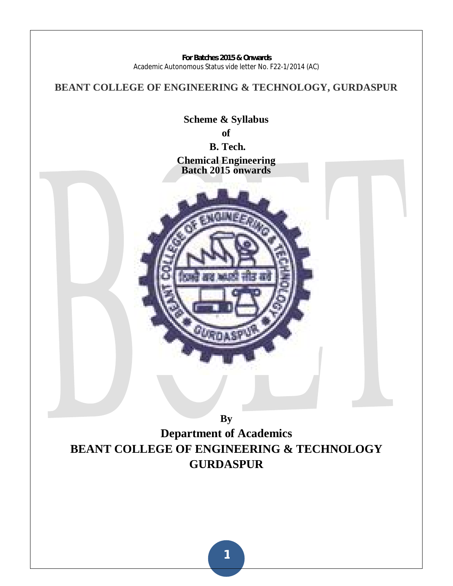**BEANT COLLEGE OF ENGINEERING & TECHNOLOGY, GURDASPUR**

**Scheme & Syllabus of B. Tech. Chemical Engineering Batch 2015 onwards** 



**By Department of Academics BEANT COLLEGE OF ENGINEERING & TECHNOLOGY GURDASPUR**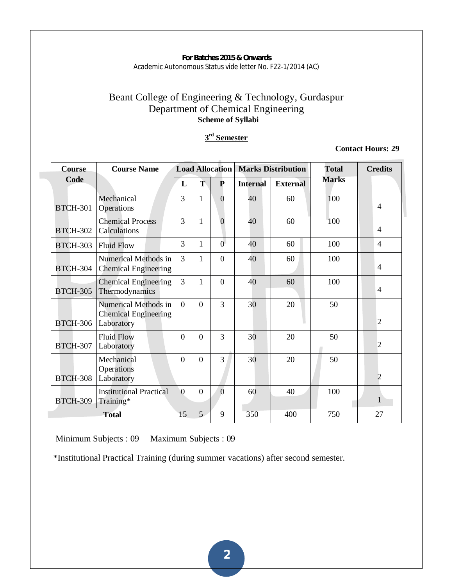# Beant College of Engineering & Technology, Gurdaspur Department of Chemical Engineering  **Scheme of Syllabi**

## **3 rd Semester**

**Contact Hours: 29** 

| <b>Course</b>   | <b>Course Name</b>                                                |                |                | <b>Load Allocation</b> |                 | <b>Marks Distribution</b> | <b>Total</b> | <b>Credits</b> |
|-----------------|-------------------------------------------------------------------|----------------|----------------|------------------------|-----------------|---------------------------|--------------|----------------|
| Code            |                                                                   | L              | Ť              | $\mathbf{P}$           | <b>Internal</b> | <b>External</b>           | <b>Marks</b> |                |
| <b>BTCH-301</b> | Mechanical<br>Operations                                          | 3              | 1              | $\theta$               | 40              | 60                        | 100          | $\overline{4}$ |
| <b>BTCH-302</b> | <b>Chemical Process</b><br>Calculations                           | 3              | 1              | $\overline{0}$         | 40              | 60                        | 100          | $\overline{4}$ |
| <b>BTCH-303</b> | <b>Fluid Flow</b>                                                 | 3              | 1              | $\overline{0}$         | 40              | 60                        | 100          | $\overline{4}$ |
| <b>BTCH-304</b> | Numerical Methods in<br><b>Chemical Engineering</b>               | 3              | 1              | $\theta$               | 40              | 60                        | 100          | $\overline{4}$ |
| <b>BTCH-305</b> | <b>Chemical Engineering</b><br>Thermodynamics                     | $\overline{3}$ | 1              | $\Omega$               | 40              | 60                        | 100          | $\overline{4}$ |
| <b>BTCH-306</b> | Numerical Methods in<br><b>Chemical Engineering</b><br>Laboratory | $\Omega$       | $\Omega$       | 3                      | 30              | 20                        | 50           | 2              |
| <b>BTCH-307</b> | <b>Fluid Flow</b><br>Laboratory                                   | $\Omega$       | $\Omega$       | 3                      | 30              | 20                        | 50           | $\overline{2}$ |
| <b>BTCH-308</b> | Mechanical<br>Operations<br>Laboratory                            | $\overline{0}$ | $\overline{0}$ | 3                      | 30              | 20                        | 50           | $\overline{2}$ |
| <b>BTCH-309</b> | <b>Institutional Practical</b><br>Training*                       | $\overline{0}$ | 0              | $\overline{0}$         | 60              | 40                        | 100          | 1              |
|                 | <b>Total</b>                                                      | 15             | 5 <sup>1</sup> | 9                      | 350             | 400                       | 750          | 27             |

Minimum Subjects : 09 Maximum Subjects : 09

\*Institutional Practical Training (during summer vacations) after second semester.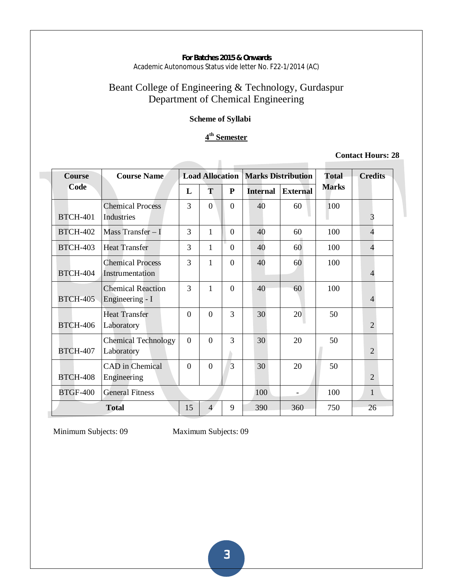# Beant College of Engineering & Technology, Gurdaspur Department of Chemical Engineering

# **Scheme of Syllabi**

# **4 th Semester**

#### **Contact Hours: 28**

| <b>Course</b>   | <b>Course Name</b>                          |                |                |          | <b>Load Allocation   Marks Distribution</b> |                 | <b>Total</b> | <b>Credits</b>           |
|-----------------|---------------------------------------------|----------------|----------------|----------|---------------------------------------------|-----------------|--------------|--------------------------|
| Code            |                                             | L              | T              | P        | <b>Internal</b>                             | <b>External</b> | <b>Marks</b> |                          |
| <b>BTCH-401</b> | <b>Chemical Process</b><br>Industries       | 3              | $\Omega$       | $\Omega$ | 40                                          | 60              | 100          | 3                        |
| <b>BTCH-402</b> | Mass Transfer $-I$                          | 3              | $\mathbf{1}$   | $\Omega$ | 40                                          | 60              | 100          | $\overline{\mathcal{A}}$ |
| <b>BTCH-403</b> | <b>Heat Transfer</b>                        | 3              | 1              | $\Omega$ | 40                                          | 60              | 100          | 4                        |
| <b>BTCH-404</b> | <b>Chemical Process</b><br>Instrumentation  | 3              | 1              | $\Omega$ | 40                                          | 60              | 100          | $\overline{4}$           |
| <b>BTCH-405</b> | <b>Chemical Reaction</b><br>Engineering - I | 3              | 1              | $\Omega$ | 40                                          | 60              | 100          | $\overline{4}$           |
| <b>BTCH-406</b> | <b>Heat Transfer</b><br>Laboratory          | $\Omega$       | $\Omega$       | 3        | 30                                          | 20              | 50           | $\overline{2}$           |
| <b>BTCH-407</b> | <b>Chemical Technology</b><br>Laboratory    | $\overline{0}$ | $\Omega$       | 3        | 30                                          | 20              | 50           | $\overline{2}$           |
| <b>BTCH-408</b> | CAD in Chemical<br>Engineering              | $\theta$       | $\Omega$       | 3        | 30                                          | 20              | 50           | 2                        |
| <b>BTGF-400</b> | <b>General Fitness</b>                      |                |                |          | 100                                         |                 | 100          | $\mathbf{1}$             |
|                 | <b>Total</b>                                | 15             | $\overline{4}$ | 9        | 390                                         | 360             | 750          | 26                       |

Minimum Subjects: 09 Maximum Subjects: 09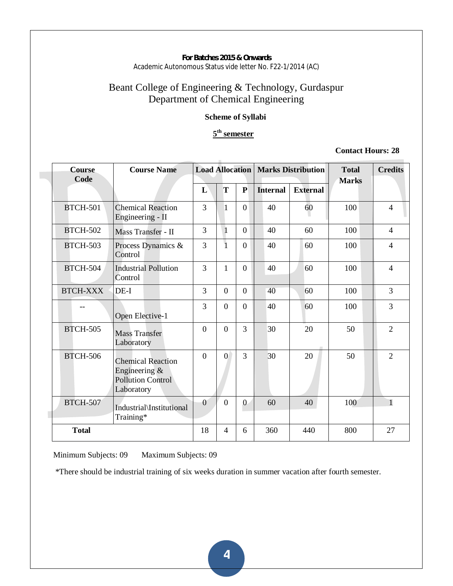# Beant College of Engineering & Technology, Gurdaspur Department of Chemical Engineering

# **Scheme of Syllabi**

# **5th semester**

# **Contact Hours: 28**

| <b>Course</b><br>Code | <b>Course Name</b>                                                                     | <b>Load Allocation</b> |                |                |                 | <b>Marks Distribution</b> | <b>Total</b><br><b>Marks</b> | <b>Credits</b>           |
|-----------------------|----------------------------------------------------------------------------------------|------------------------|----------------|----------------|-----------------|---------------------------|------------------------------|--------------------------|
|                       |                                                                                        | L                      | T              | ${\bf P}$      | <b>Internal</b> | <b>External</b>           |                              |                          |
| <b>BTCH-501</b>       | <b>Chemical Reaction</b><br>Engineering - II                                           | $\overline{3}$         | 1              | $\theta$       | 40              | 60                        | 100                          | $\overline{4}$           |
| <b>BTCH-502</b>       | Mass Transfer - II                                                                     | 3                      | $\mathbf{1}$   | $\overline{0}$ | 40              | 60                        | 100                          | $\overline{4}$           |
| <b>BTCH-503</b>       | Process Dynamics &<br>Control                                                          | $\overline{3}$         | $\overline{1}$ | $\overline{0}$ | 40              | 60                        | 100                          | $\overline{\mathcal{L}}$ |
| <b>BTCH-504</b>       | <b>Industrial Pollution</b><br>Control                                                 | 3                      | $\mathbf{1}$   | $\theta$       | 40              | 60                        | 100                          | $\overline{4}$           |
| <b>BTCH-XXX</b>       | $DE-I$                                                                                 | 3                      | $\Omega$       | $\theta$       | 40              | 60                        | 100                          | 3                        |
|                       | Open Elective-1                                                                        | 3                      | $\overline{0}$ | $\overline{0}$ | 40              | 60                        | 100                          | 3                        |
| <b>BTCH-505</b>       | <b>Mass Transfer</b><br>Laboratory                                                     | $\theta$               | $\Omega$       | 3              | 30              | 20                        | 50                           | $\overline{2}$           |
| <b>BTCH-506</b>       | <b>Chemical Reaction</b><br>Engineering $\&$<br><b>Pollution Control</b><br>Laboratory | $\theta$               | $\overline{0}$ | 3              | 30              | 20                        | 50                           | $\overline{2}$           |
| <b>BTCH-507</b>       | Industrial\Institutional<br>Training*                                                  | $\overline{0}$         | $\overline{0}$ | $\mathbf{0}$   | 60              | 40                        | 100                          | $\mathbf{1}$             |
| <b>Total</b>          |                                                                                        | 18                     | $\overline{4}$ | 6              | 360             | 440                       | 800                          | 27                       |

Minimum Subjects: 09 Maximum Subjects: 09

\*There should be industrial training of six weeks duration in summer vacation after fourth semester.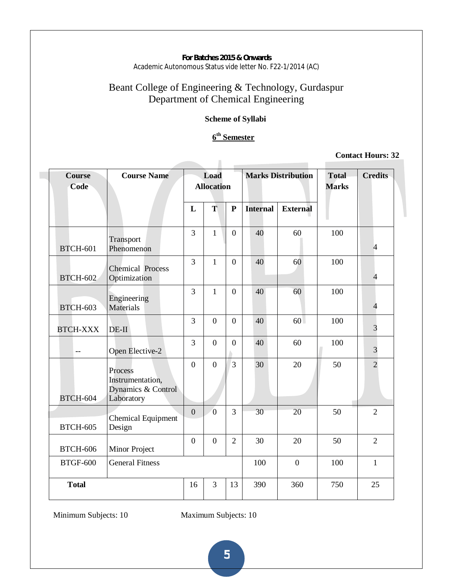# Beant College of Engineering & Technology, Gurdaspur Department of Chemical Engineering

# **Scheme of Syllabi**

# **6th Semester**

#### **Contact Hours: 32**

| Course<br>Code  | <b>Marks Distribution</b><br><b>Course Name</b><br>Load<br><b>Allocation</b> |                |                | <b>Total</b><br><b>Marks</b> | <b>Credits</b>  |                 |     |                |
|-----------------|------------------------------------------------------------------------------|----------------|----------------|------------------------------|-----------------|-----------------|-----|----------------|
|                 |                                                                              | L              | T              | $\mathbf{P}$                 | <b>Internal</b> | <b>External</b> |     |                |
| <b>BTCH-601</b> | Transport<br>Phenomenon                                                      | $\overline{3}$ | $\mathbf{1}$   | $\overline{0}$               | 40              | 60              | 100 | $\overline{4}$ |
| <b>BTCH-602</b> | <b>Chemical Process</b><br>Optimization                                      | $\overline{3}$ | $\mathbf{1}$   | $\overline{0}$               | 40              | 60              | 100 | $\overline{4}$ |
| <b>BTCH-603</b> | Engineering<br>Materials                                                     | $\overline{3}$ | $\mathbf{1}$   | $\overline{0}$               | 40              | 60              | 100 | $\overline{4}$ |
| <b>BTCH-XXX</b> | $DE-II$                                                                      | 3              | $\overline{0}$ | $\mathbf{0}$                 | 40              | 60              | 100 | 3              |
| $-$             | Open Elective-2                                                              | 3              | $\overline{0}$ | $\boldsymbol{0}$             | 40              | 60              | 100 | 3              |
| <b>BTCH-604</b> | Process<br>Instrumentation,<br>Dynamics & Control<br>Laboratory              | $\overline{0}$ | $\overline{0}$ | 3                            | 30              | 20              | 50  | $\overline{2}$ |
| <b>BTCH-605</b> | <b>Chemical Equipment</b><br>Design                                          | $\overline{0}$ | $\overline{0}$ | 3                            | 30              | 20              | 50  | $\overline{2}$ |
| <b>BTCH-606</b> | Minor Project                                                                | $\overline{0}$ | $\overline{0}$ | $\overline{2}$               | 30              | 20              | 50  | $\overline{2}$ |
| <b>BTGF-600</b> | <b>General Fitness</b>                                                       |                |                |                              | 100             | $\overline{0}$  | 100 | $\mathbf{1}$   |
| <b>Total</b>    |                                                                              | 16             | 3              | 13                           | 390             | 360             | 750 | 25             |

Minimum Subjects: 10 Maximum Subjects: 10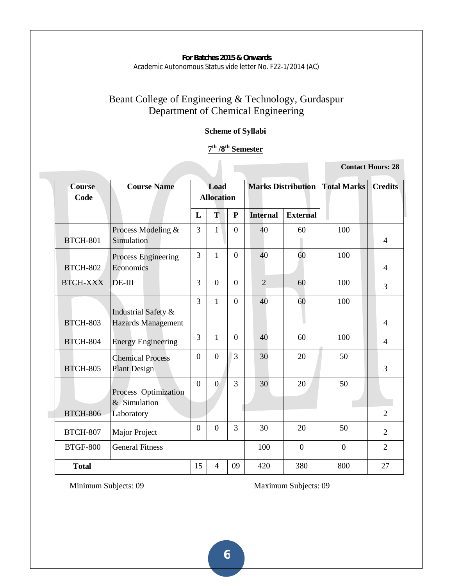# Beant College of Engineering & Technology, Gurdaspur Department of Chemical Engineering

# **Scheme of Syllabi**

# **7th /8th Semester**

**Contact Hours: 28** 

| <b>Course</b><br>Code | <b>Course Name</b>                               | <b>Marks Distribution Total Marks</b><br>Load<br><b>Allocation</b> |                |                |                 | <b>Credits</b>  |                |                |
|-----------------------|--------------------------------------------------|--------------------------------------------------------------------|----------------|----------------|-----------------|-----------------|----------------|----------------|
|                       |                                                  | L                                                                  | T              | ${\bf P}$      | <b>Internal</b> | <b>External</b> |                |                |
| <b>BTCH-801</b>       | Process Modeling &<br>Simulation                 | 3                                                                  | $\mathbf{1}$   | $\overline{0}$ | 40              | 60              | 100            | $\overline{4}$ |
| <b>BTCH-802</b>       | Process Engineering<br>Economics                 | $\overline{3}$                                                     | $\mathbf{1}$   | $\overline{0}$ | 40              | 60              | 100            | 4              |
| <b>BTCH-XXX</b>       | $DE-III$                                         | 3                                                                  | $\overline{0}$ | $\overline{0}$ | $\overline{2}$  | 60              | 100            | $\overline{3}$ |
| <b>BTCH-803</b>       | Industrial Safety &<br><b>Hazards Management</b> | 3                                                                  | $\mathbf{1}$   | $\overline{0}$ | 40              | 60              | 100            | 4              |
| <b>BTCH-804</b>       | <b>Energy Engineering</b>                        | $\overline{3}$                                                     | $\mathbf{1}$   | $\overline{0}$ | 40              | 60              | 100            | $\overline{4}$ |
| <b>BTCH-805</b>       | <b>Chemical Process</b><br><b>Plant Design</b>   | $\overline{0}$                                                     | $\overline{0}$ | $\overline{3}$ | 30              | 20              | 50             | 3              |
|                       | Process Optimization<br>& Simulation             | $\overline{0}$                                                     | $\overline{0}$ | 3              | 30              | 20              | 50             |                |
| <b>BTCH-806</b>       | Laboratory                                       |                                                                    |                |                |                 |                 |                | $\overline{2}$ |
| <b>BTCH-807</b>       | Major Project                                    | $\overline{0}$                                                     | $\overline{0}$ | 3              | 30              | 20              | 50             | $\overline{2}$ |
| <b>BTGF-800</b>       | <b>General Fitness</b>                           |                                                                    |                |                | 100             | $\overline{0}$  | $\overline{0}$ | $\overline{2}$ |
| <b>Total</b>          |                                                  | 15                                                                 | 4              | 09             | 420             | 380             | 800            | 27             |

**Minimum Subjects: 09 Maximum Subjects: 09**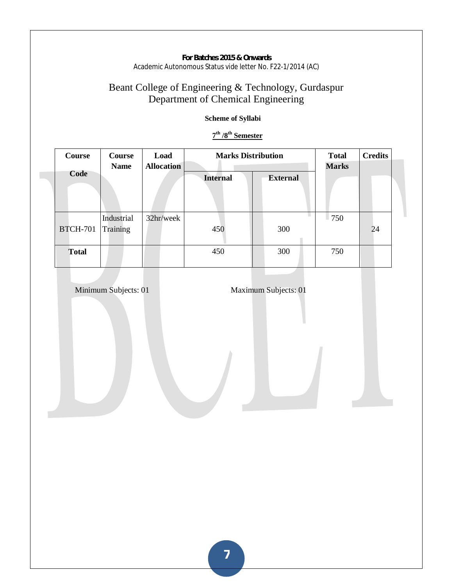# Beant College of Engineering & Technology, Gurdaspur Department of Chemical Engineering

# **Scheme of Syllabi**

# **7th /8th Semester**

| Course          | Course<br><b>Name</b>  | Load<br><b>Allocation</b> | <b>Marks Distribution</b> | <b>Total</b><br><b>Marks</b> | <b>Credits</b> |    |
|-----------------|------------------------|---------------------------|---------------------------|------------------------------|----------------|----|
| Code            |                        |                           | <b>Internal</b>           | <b>External</b>              |                |    |
| <b>BTCH-701</b> | Industrial<br>Training | 32hr/week                 | 450                       | 300                          | 750            | 24 |
| <b>Total</b>    |                        |                           | 450                       | 300                          | 750            |    |

**Minimum Subjects: 01 Maximum Subjects: 01**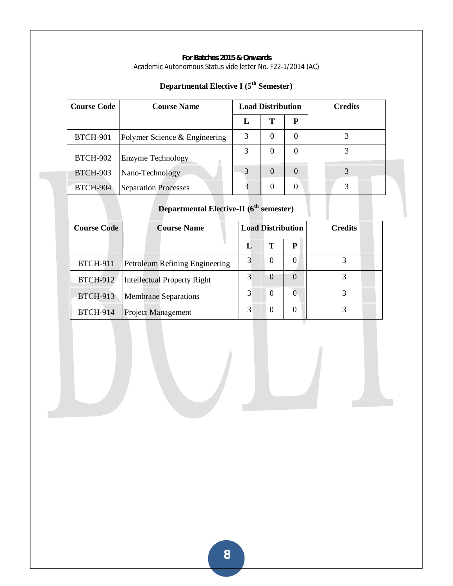| <b>Course Code</b> | <b>Course Name</b>            | <b>Load Distribution</b> |          |                  | <b>Credits</b> |
|--------------------|-------------------------------|--------------------------|----------|------------------|----------------|
|                    |                               | L                        | Т        | P                |                |
| <b>BTCH-901</b>    | Polymer Science & Engineering | 3                        | 0        | 0                |                |
| <b>BTCH-902</b>    | Enzyme Technology             | 3                        | 0        | 0                |                |
| <b>BTCH-903</b>    | Nano-Technology               | 3                        | $\Omega$ | $\left( \right)$ |                |
| <b>BTCH-904</b>    | <b>Separation Processes</b>   |                          | 0        | O                |                |

# **Departmental Elective I (5th Semester)**

# **Departmental Elective-II (6th semester)**

| <b>Course Code</b> | <b>Course Name</b>             |   | <b>Load Distribution</b> |          | <b>Credits</b> |
|--------------------|--------------------------------|---|--------------------------|----------|----------------|
|                    |                                |   | т                        | P        |                |
| <b>BTCH-911</b>    | Petroleum Refining Engineering | 3 | 0                        |          |                |
| <b>BTCH-912</b>    | Intellectual Property Right    | 3 | $\Omega$                 | $\Omega$ |                |
| <b>BTCH-913</b>    | <b>Membrane Separations</b>    | 3 | $\theta$                 | $\Omega$ |                |
| <b>BTCH-914</b>    | <b>Project Management</b>      | 3 | $\theta$                 |          |                |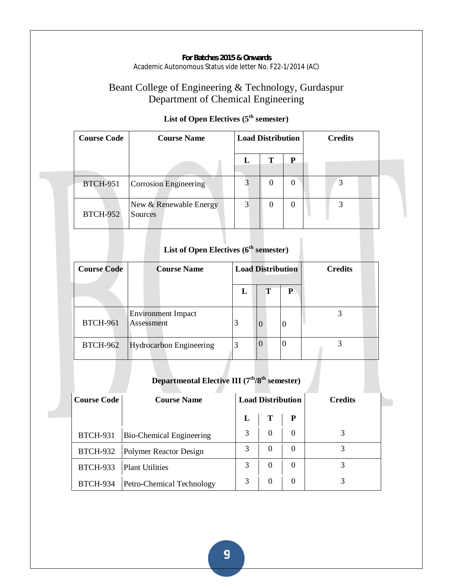# Beant College of Engineering & Technology, Gurdaspur Department of Chemical Engineering

| <b>Course Code</b> | <b>Course Name</b>                | <b>Load Distribution</b> |   |   | <b>Credits</b> |  |  |
|--------------------|-----------------------------------|--------------------------|---|---|----------------|--|--|
|                    |                                   |                          | т | P |                |  |  |
| <b>BTCH-951</b>    | Corrosion Engineering             |                          |   | 0 | 3              |  |  |
| <b>BTCH-952</b>    | New & Renewable Energy<br>Sources | 3                        | 0 | 0 |                |  |  |

# List of Open Electives ( $5<sup>th</sup>$  semester)

# List of Open Electives (6<sup>th</sup> semester)

| <b>Course Code</b> | <b>Course Name</b>                      | <b>Load Distribution</b> |          |   | <b>Credits</b> |
|--------------------|-----------------------------------------|--------------------------|----------|---|----------------|
|                    |                                         | L                        | Т        | P |                |
| <b>BTCH-961</b>    | <b>Environment Impact</b><br>Assessment | 3                        | $\Omega$ | 0 |                |
| <b>BTCH-962</b>    | Hydrocarbon Engineering                 | 3                        | $\Omega$ | 0 |                |

# **Departmental Elective III (7th/8th semester)**

| <b>Course Code</b> | <b>Course Name</b>              | <b>Load Distribution</b> |          |          | <b>Credits</b> |  |
|--------------------|---------------------------------|--------------------------|----------|----------|----------------|--|
|                    |                                 | Ъ.                       | т        | P        |                |  |
| <b>BTCH-931</b>    | <b>Bio-Chemical Engineering</b> | 3                        | $\Omega$ | $\theta$ |                |  |
| <b>BTCH-932</b>    | Polymer Reactor Design          |                          | $\Omega$ | $\theta$ |                |  |
| <b>BTCH-933</b>    | <b>Plant Utilities</b>          | 3                        | $\Omega$ | $\theta$ |                |  |
| <b>BTCH-934</b>    | Petro-Chemical Technology       | 3                        | $\theta$ | $\theta$ |                |  |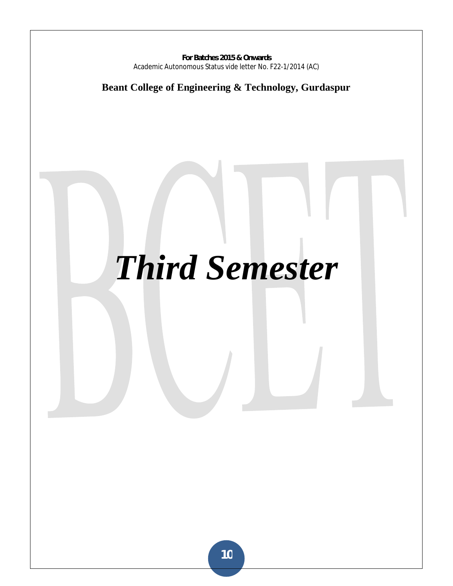**Beant College of Engineering & Technology, Gurdaspur** 

# *Third Semester*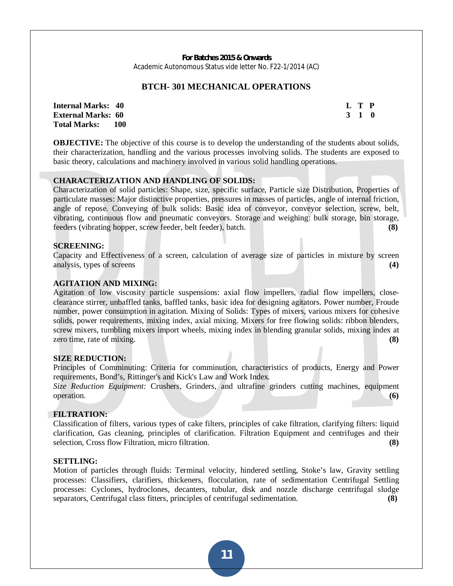#### **BTCH- 301 MECHANICAL OPERATIONS**

**Internal Marks:** 40 **L** T P **External Marks: 60 3 1 0 3 2 3 4 5 6 7 7 8 7 7 8 7 7 8 7 7 8 7 8 7 7 8 7 7 8 7 8 7 8 7 8 7 8 7 8 7 8 7 8 7 8 7 8 7 8 7 8 7 8 7 8 7 8 7 8 7 8 7 8 7 8 7 8 7 8 7 8 7 8 7 8 7 8 7 8 7 8 7 8 7 8 7 8 7 8 7 8 7 8 7 8 7 8 7 8 7 8 Total Marks: 100** 

**OBJECTIVE:** The objective of this course is to develop the understanding of the students about solids, their characterization, handling and the various processes involving solids. The students are exposed to basic theory, calculations and machinery involved in various solid handling operations.

#### **CHARACTERIZATION AND HANDLING OF SOLIDS:**

Characterization of solid particles: Shape, size, specific surface, Particle size Distribution, Properties of particulate masses: Major distinctive properties, pressures in masses of particles, angle of internal friction, angle of repose. Conveying of bulk solids: Basic idea of conveyor, conveyor selection, screw, belt, vibrating, continuous flow and pneumatic conveyors. Storage and weighing: bulk storage, bin storage, feeders (vibrating hopper, screw feeder, belt feeder), batch. **(8)**

#### **SCREENING:**

Capacity and Effectiveness of a screen, calculation of average size of particles in mixture by screen analysis, types of screens **(4)**

#### **AGITATION AND MIXING:**

Agitation of low viscosity particle suspensions: axial flow impellers, radial flow impellers, closeclearance stirrer, unbaffled tanks, baffled tanks, basic idea for designing agitators. Power number, Froude number, power consumption in agitation. Mixing of Solids: Types of mixers, various mixers for cohesive solids, power requirements, mixing index, axial mixing. Mixers for free flowing solids: ribbon blenders, screw mixers, tumbling mixers import wheels, mixing index in blending granular solids, mixing index at zero time, rate of mixing. **(8)** (8)

#### **SIZE REDUCTION:**

Principles of Comminuting: Criteria for comminution, characteristics of products, Energy and Power requirements, Bond's, Rittinger's and Kick's Law and Work Index.

*Size Reduction Equipment:* Crushers, Grinders, and ultrafine grinders cutting machines, equipment operation. **(6)**

#### **FILTRATION:**

Classification of filters, various types of cake filters, principles of cake filtration, clarifying filters: liquid clarification, Gas cleaning, principles of clarification. Filtration Equipment and centrifuges and their selection, Cross flow Filtration, micro filtration. **(8)**

#### **SETTLING:**

Motion of particles through fluids: Terminal velocity, hindered settling, Stoke's law, Gravity settling processes: Classifiers, clarifiers, thickeners, flocculation, rate of sedimentation Centrifugal Settling processes: Cyclones, hydroclones, decanters, tubular, disk and nozzle discharge centrifugal sludge separators, Centrifugal class fitters, principles of centrifugal sedimentation. **(8)**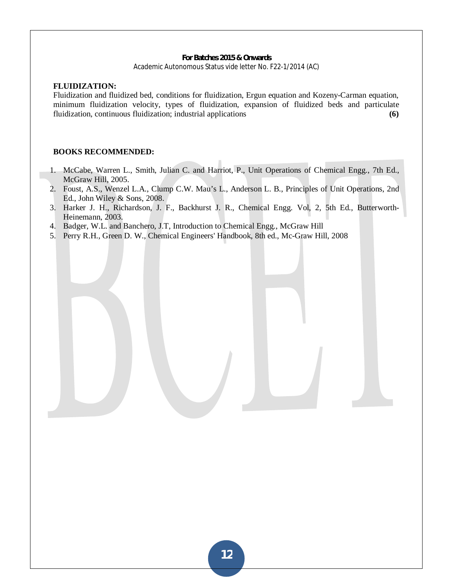#### **FLUIDIZATION:**

Fluidization and fluidized bed, conditions for fluidization, Ergun equation and Kozeny-Carman equation, minimum fluidization velocity, types of fluidization, expansion of fluidized beds and particulate fluidization, continuous fluidization; industrial applications **(6)**

#### **BOOKS RECOMMENDED:**

- 1. McCabe, Warren L., Smith, Julian C. and Harriot, P., Unit Operations of Chemical Engg., 7th Ed., McGraw Hill, 2005.
- 2. Foust, A.S., Wenzel L.A., Clump C.W. Mau's L., Anderson L. B., Principles of Unit Operations, 2nd Ed., John Wiley & Sons, 2008.
- 3. Harker J. H., Richardson, J. F., Backhurst J. R., Chemical Engg. Vol, 2, 5th Ed., Butterworth-Heinemann, 2003.
- 4. Badger, W.L. and Banchero, J.T, Introduction to Chemical Engg., McGraw Hill
- 5. Perry R.H., Green D. W., Chemical Engineers' Handbook, 8th ed., Mc-Graw Hill, 2008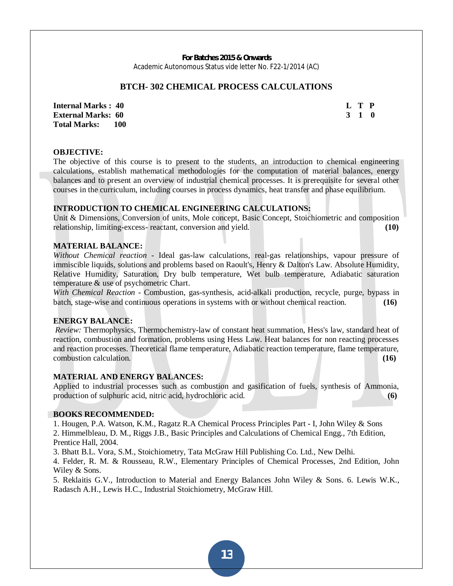#### **BTCH- 302 CHEMICAL PROCESS CALCULATIONS**

**Internal Marks : 40 L T P L T P External Marks: 60 3 1 0 3 2 3 4 5 6 7 7 8 7 7 8 7 7 8 7 7 8 7 8 7 7 8 7 7 8 7 8 7 8 7 8 7 8 7 8 7 8 7 8 7 8 7 8 7 8 7 8 7 8 7 8 7 8 7 8 7 8 7 8 7 8 7 8 7 8 7 8 7 8 7 8 7 8 7 8 7 8 7 8 7 8 7 8 7 8 7 8 7 8 7 8 7 8 7 8 7 8 Total Marks: 100** 

#### **OBJECTIVE:**

The objective of this course is to present to the students, an introduction to chemical engineering calculations, establish mathematical methodologies for the computation of material balances, energy balances and to present an overview of industrial chemical processes. It is prerequisite for several other courses in the curriculum, including courses in process dynamics, heat transfer and phase equilibrium.

#### **INTRODUCTION TO CHEMICAL ENGINEERING CALCULATIONS:**

Unit & Dimensions, Conversion of units, Mole concept, Basic Concept, Stoichiometric and composition relationship, limiting-excess- reactant, conversion and yield. **(10)**

#### **MATERIAL BALANCE:**

*Without Chemical reaction* - Ideal gas-law calculations, real-gas relationships, vapour pressure of immiscible liquids, solutions and problems based on Raoult's, Henry & Dalton's Law. Absolute Humidity, Relative Humidity, Saturation, Dry bulb temperature, Wet bulb temperature, Adiabatic saturation temperature & use of psychometric Chart.

*With Chemical Reaction* - Combustion, gas-synthesis, acid-alkali production, recycle, purge, bypass in batch, stage-wise and continuous operations in systems with or without chemical reaction. **(16)**

#### **ENERGY BALANCE:**

*Review:* Thermophysics, Thermochemistry-law of constant heat summation, Hess's law, standard heat of reaction, combustion and formation, problems using Hess Law. Heat balances for non reacting processes and reaction processes. Theoretical flame temperature, Adiabatic reaction temperature, flame temperature, combustion calculation. **(16)**

#### **MATERIAL AND ENERGY BALANCES:**

Applied to industrial processes such as combustion and gasification of fuels, synthesis of Ammonia, production of sulphuric acid, nitric acid, hydrochloric acid. **(6)** 

#### **BOOKS RECOMMENDED:**

1. Hougen, P.A. Watson, K.M., Ragatz R.A Chemical Process Principles Part - I, John Wiley & Sons 2. Himmelbleau, D. M., Riggs J.B., Basic Principles and Calculations of Chemical Engg., 7th Edition, Prentice Hall, 2004.

3. Bhatt B.L. Vora, S.M., Stoichiometry, Tata McGraw Hill Publishing Co. Ltd., New Delhi.

4. Felder, R. M. & Rousseau, R.W., Elementary Principles of Chemical Processes, 2nd Edition, John Wiley & Sons.

5. Reklaitis G.V., Introduction to Material and Energy Balances John Wiley & Sons. 6. Lewis W.K., Radasch A.H., Lewis H.C., Industrial Stoichiometry, McGraw Hill.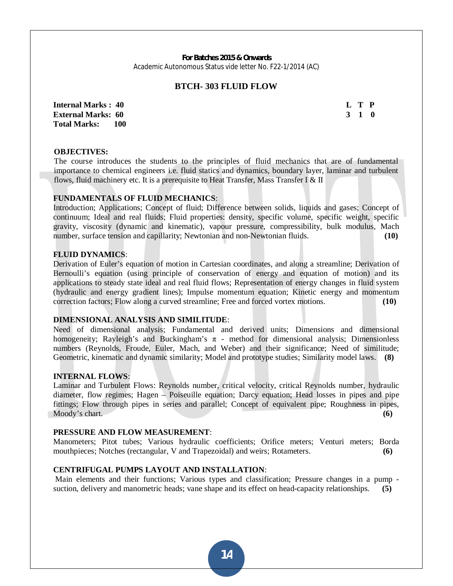#### **BTCH- 303 FLUID FLOW**

**Internal Marks : 40 L T P L T P External Marks: 60 3 1 0 3 2 3 4 5 6 7 7 8 7 7 8 7 7 8 7 7 8 7 8 7 7 8 7 7 8 7 8 7 8 7 8 7 8 7 8 7 8 7 8 7 8 7 8 7 8 7 8 7 8 7 8 7 8 7 8 7 8 7 8 7 8 7 8 7 8 7 8 7 8 7 8 7 8 7 8 7 8 7 8 7 8 7 8 7 8 7 8 7 8 7 8 7 8 7 8 7 8 Total Marks: 100** 

#### **OBJECTIVES:**

The course introduces the students to the principles of fluid mechanics that are of fundamental importance to chemical engineers i.e. fluid statics and dynamics, boundary layer, laminar and turbulent flows, fluid machinery etc. It is a prerequisite to Heat Transfer, Mass Transfer I  $\&$  II

#### **FUNDAMENTALS OF FLUID MECHANICS**:

Introduction; Applications; Concept of fluid; Difference between solids, liquids and gases; Concept of continuum; Ideal and real fluids; Fluid properties: density, specific volume, specific weight, specific gravity, viscosity (dynamic and kinematic), vapour pressure, compressibility, bulk modulus, Mach number, surface tension and capillarity; Newtonian and non-Newtonian fluids. **(10)** (10)

#### **FLUID DYNAMICS**:

Derivation of Euler's equation of motion in Cartesian coordinates, and along a streamline; Derivation of Bernoulli's equation (using principle of conservation of energy and equation of motion) and its applications to steady state ideal and real fluid flows; Representation of energy changes in fluid system (hydraulic and energy gradient lines); Impulse momentum equation; Kinetic energy and momentum correction factors; Flow along a curved streamline; Free and forced vortex motions. **(10)**

#### **DIMENSIONAL ANALYSIS AND SIMILITUDE**:

Need of dimensional analysis; Fundamental and derived units; Dimensions and dimensional homogeneity; Rayleigh's and Buckingham's  $\pi$  - method for dimensional analysis; Dimensionless numbers (Reynolds, Froude, Euler, Mach, and Weber) and their significance; Need of similitude; Geometric, kinematic and dynamic similarity; Model and prototype studies; Similarity model laws. **(8)**

#### **INTERNAL FLOWS**:

Laminar and Turbulent Flows: Reynolds number, critical velocity, critical Reynolds number, hydraulic diameter, flow regimes; Hagen – Poiseuille equation; Darcy equation; Head losses in pipes and pipe fittings; Flow through pipes in series and parallel; Concept of equivalent pipe; Roughness in pipes, Moody's chart. **(6)**

#### **PRESSURE AND FLOW MEASUREMENT**:

Manometers; Pitot tubes; Various hydraulic coefficients; Orifice meters; Venturi meters; Borda mouthpieces; Notches (rectangular, V and Trapezoidal) and weirs; Rotameters. **(6)**

#### **CENTRIFUGAL PUMPS LAYOUT AND INSTALLATION**:

 Main elements and their functions; Various types and classification; Pressure changes in a pump suction, delivery and manometric heads; vane shape and its effect on head-capacity relationships. **(5)**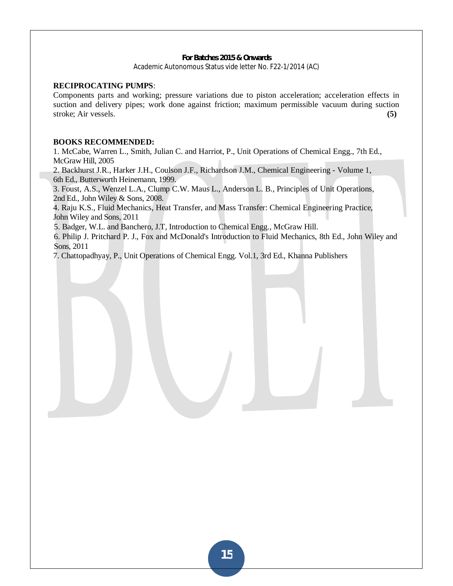#### **RECIPROCATING PUMPS**:

Components parts and working; pressure variations due to piston acceleration; acceleration effects in suction and delivery pipes; work done against friction; maximum permissible vacuum during suction stroke; Air vessels. **(5)**

#### **BOOKS RECOMMENDED:**

1. McCabe, Warren L., Smith, Julian C. and Harriot, P., Unit Operations of Chemical Engg., 7th Ed., McGraw Hill, 2005

2. Backhurst J.R., Harker J.H., Coulson J.F., Richardson J.M., Chemical Engineering - Volume 1, 6th Ed., Butterworth Heinemann, 1999.

3. Foust, A.S., Wenzel L.A., Clump C.W. Maus L., Anderson L. B., Principles of Unit Operations, 2nd Ed., John Wiley & Sons, 2008.

4. Raju K.S., Fluid Mechanics, Heat Transfer, and Mass Transfer: Chemical Engineering Practice, John Wiley and Sons, 2011

5. Badger, W.L. and Banchero, J.T, Introduction to Chemical Engg., McGraw Hill.

6. Philip J. Pritchard P. J., Fox and McDonald's Introduction to Fluid Mechanics, 8th Ed., John Wiley and Sons, 2011

7. Chattopadhyay, P., Unit Operations of Chemical Engg. Vol.1, 3rd Ed., Khanna Publishers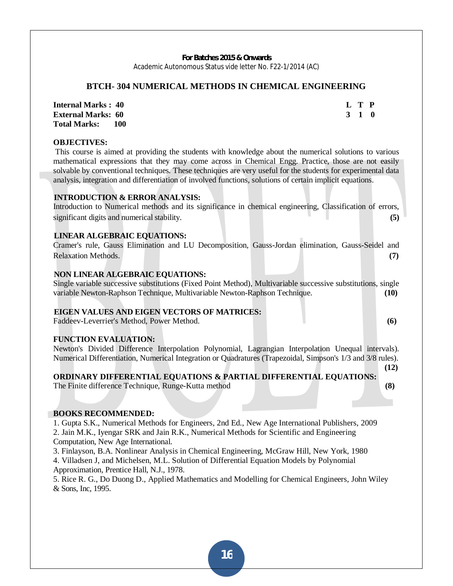## **BTCH- 304 NUMERICAL METHODS IN CHEMICAL ENGINEERING**

**Internal Marks : 40 L T P L T P External Marks: 60 3 1 0 3 2 3 4 5 6 7 7 8 7 7 8 7 7 8 7 7 8 7 8 7 7 8 7 7 8 7 8 7 8 7 8 7 8 7 8 7 8 7 8 7 8 7 8 7 8 7 8 7 8 7 8 7 8 7 8 7 8 7 8 7 8 7 8 7 8 7 8 7 8 7 8 7 8 7 8 7 8 7 8 7 8 7 8 7 8 7 8 7 8 7 8 7 8 7 8 7 8 Total Marks: 100** 

## **OBJECTIVES:**

 This course is aimed at providing the students with knowledge about the numerical solutions to various mathematical expressions that they may come across in Chemical Engg. Practice, those are not easily solvable by conventional techniques. These techniques are very useful for the students for experimental data analysis, integration and differentiation of involved functions, solutions of certain implicit equations.

## **INTRODUCTION & ERROR ANALYSIS:**

Introduction to Numerical methods and its significance in chemical engineering, Classification of errors, significant digits and numerical stability. **(5)**

## **LINEAR ALGEBRAIC EQUATIONS:**

Cramer's rule, Gauss Elimination and LU Decomposition, Gauss-Jordan elimination, Gauss-Seidel and Relaxation Methods. **(7)**

#### **NON LINEAR ALGEBRAIC EQUATIONS:**

Single variable successive substitutions (Fixed Point Method), Multivariable successive substitutions, single variable Newton-Raphson Technique, Multivariable Newton-Raphson Technique. **(10)**

#### **EIGEN VALUES AND EIGEN VECTORS OF MATRICES:**

Faddeev-Leverrier's Method, Power Method. **(6)**

#### **FUNCTION EVALUATION:**

Newton's Divided Difference Interpolation Polynomial, Lagrangian Interpolation Unequal intervals). Numerical Differentiation, Numerical Integration or Quadratures (Trapezoidal, Simpson's 1/3 and 3/8 rules).

#### **(12)**  $(12)$ **ORDINARY DIFFERENTIAL EQUATIONS & PARTIAL DIFFERENTIAL EQUATIONS:**

The Finite difference Technique, Runge-Kutta method **(8)**

#### **BOOKS RECOMMENDED:**

1. Gupta S.K., Numerical Methods for Engineers, 2nd Ed., New Age International Publishers, 2009 2. Jain M.K., Iyengar SRK and Jain R.K., Numerical Methods for Scientific and Engineering Computation, New Age International.

3. Finlayson, B.A. Nonlinear Analysis in Chemical Engineering, McGraw Hill, New York, 1980

4. Villadsen J, and Michelsen, M.L. Solution of Differential Equation Models by Polynomial Approximation, Prentice Hall, N.J., 1978.

5. Rice R. G., Do Duong D., Applied Mathematics and Modelling for Chemical Engineers, John Wiley & Sons, Inc, 1995.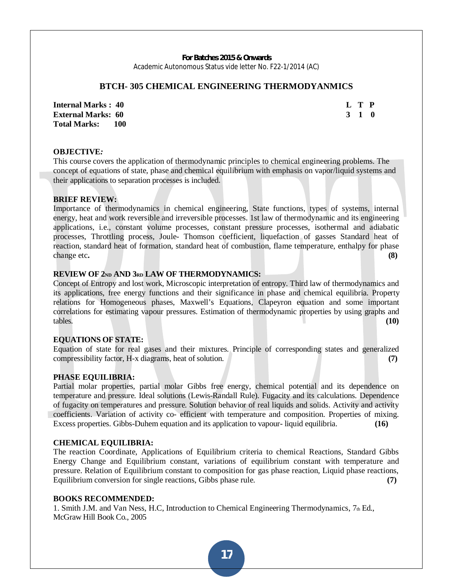#### **BTCH- 305 CHEMICAL ENGINEERING THERMODYANMICS**

**Internal Marks : 40 L T P L T P External Marks: 60 3 1 0 3 1 0 3 1 0 3 1 0 3 1 0 3 1 0 3 1 0 3 1 0 3 1 0 3 1 0 3 1 0 3 1 0 3 1 0 3 1 0 3 1 0 3 1 0 3 1 0 4 0 4 0 4 0 4 0 4 0 4 0 4 0 Total Marks: 100** 

#### **OBJECTIVE***:*

This course covers the application of thermodynamic principles to chemical engineering problems. The concept of equations of state, phase and chemical equilibrium with emphasis on vapor/liquid systems and their applications to separation processes is included.

#### **BRIEF REVIEW:**

Importance of thermodynamics in chemical engineering, State functions, types of systems, internal energy, heat and work reversible and irreversible processes. 1st law of thermodynamic and its engineering applications, i.e., constant volume processes, constant pressure processes, isothermal and adiabatic processes, Throttling process, Joule- Thomson coefficient, liquefaction of gasses Standard heat of reaction, standard heat of formation, standard heat of combustion, flame temperature, enthalpy for phase change etc. (8)

#### **REVIEW OF 2ND AND 3RD LAW OF THERMODYNAMICS:**

Concept of Entropy and lost work, Microscopic interpretation of entropy. Third law of thermodynamics and its applications, free energy functions and their significance in phase and chemical equilibria. Property relations for Homogeneous phases, Maxwell's Equations, Clapeyron equation and some important correlations for estimating vapour pressures. Estimation of thermodynamic properties by using graphs and tables. **(10)**

#### **EQUATIONS OF STATE:**

Equation of state for real gases and their mixtures. Principle of corresponding states and generalized compressibility factor, H-x diagrams, heat of solution. **(7)**

#### **PHASE EQUILIBRIA:**

Partial molar properties, partial molar Gibbs free energy, chemical potential and its dependence on temperature and pressure. Ideal solutions (Lewis-Randall Rule). Fugacity and its calculations. Dependence of fugacity on temperatures and pressure. Solution behavior of real liquids and solids. Activity and activity coefficients. Variation of activity co- efficient with temperature and composition. Properties of mixing. Excess properties. Gibbs-Duhem equation and its application to vapour- liquid equilibria. **(16)** 

#### **CHEMICAL EQUILIBRIA:**

The reaction Coordinate, Applications of Equilibrium criteria to chemical Reactions, Standard Gibbs Energy Change and Equilibrium constant, variations of equilibrium constant with temperature and pressure. Relation of Equilibrium constant to composition for gas phase reaction, Liquid phase reactions, Equilibrium conversion for single reactions, Gibbs phase rule. **(7)**

#### **BOOKS RECOMMENDED:**

1. Smith J.M. and Van Ness, H.C. Introduction to Chemical Engineering Thermodynamics,  $7<sub>th</sub>$  Ed., McGraw Hill Book Co., 2005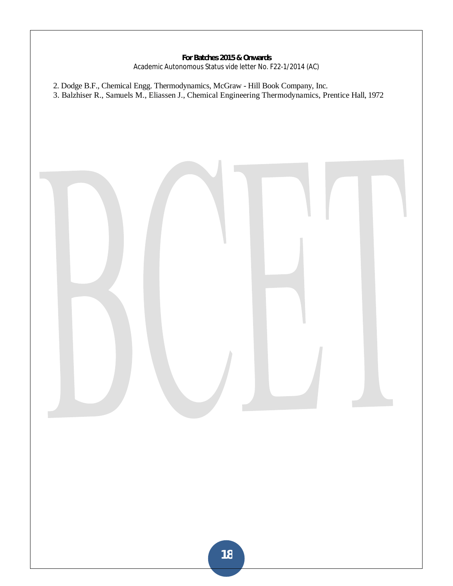- 2. Dodge B.F., Chemical Engg. Thermodynamics, McGraw Hill Book Company, Inc.
- 3. Balzhiser R., Samuels M., Eliassen J., Chemical Engineering Thermodynamics, Prentice Hall, 1972

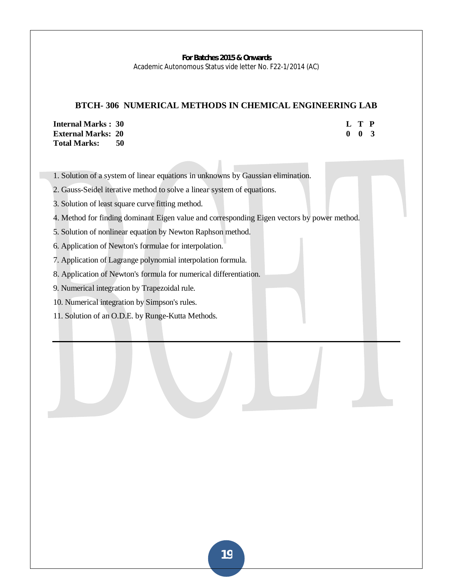# **BTCH- 306 NUMERICAL METHODS IN CHEMICAL ENGINEERING LAB**

**Internal Marks : 30 External Marks: 20 Total Marks: 50** 

| L           | T | P            |
|-------------|---|--------------|
| $\mathbf 0$ | 0 | $\mathbf{z}$ |

1. Solution of a system of linear equations in unknowns by Gaussian elimination.

2. Gauss-Seidel iterative method to solve a linear system of equations.

- 3. Solution of least square curve fitting method.
- 4. Method for finding dominant Eigen value and corresponding Eigen vectors by power method.
- 5. Solution of nonlinear equation by Newton Raphson method.
- 6. Application of Newton's formulae for interpolation.
- 7. Application of Lagrange polynomial interpolation formula.
- 8. Application of Newton's formula for numerical differentiation.
- 9. Numerical integration by Trapezoidal rule.
- 10. Numerical integration by Simpson's rules.
- 11. Solution of an O.D.E. by Runge-Kutta Methods.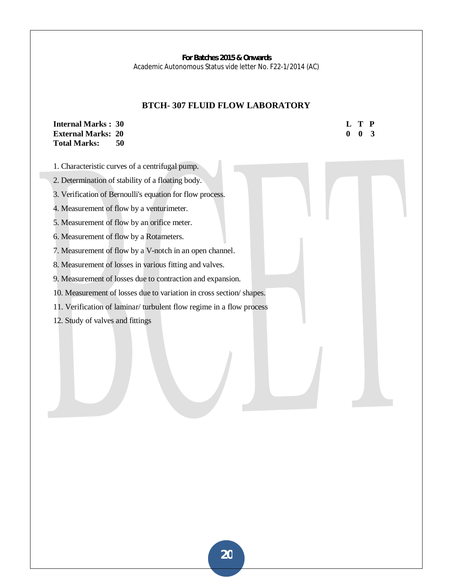## **BTCH- 307 FLUID FLOW LABORATORY**

## **Internal Marks : 30 L T P L T P External Marks: 20 0 0 3 0 0 3 Total Marks: 50**

- 1. Characteristic curves of a centrifugal pump.
- 2. Determination of stability of a floating body.
- 3. Verification of Bernoulli's equation for flow process.
- 4. Measurement of flow by a venturimeter.
- 5. Measurement of flow by an orifice meter.
- 6. Measurement of flow by a Rotameters.
- 7. Measurement of flow by a V-notch in an open channel.
- 8. Measurement of losses in various fitting and valves.
- 9. Measurement of losses due to contraction and expansion.
- 10. Measurement of losses due to variation in cross section/ shapes.
- 11. Verification of laminar/ turbulent flow regime in a flow process
- 12. Study of valves and fittings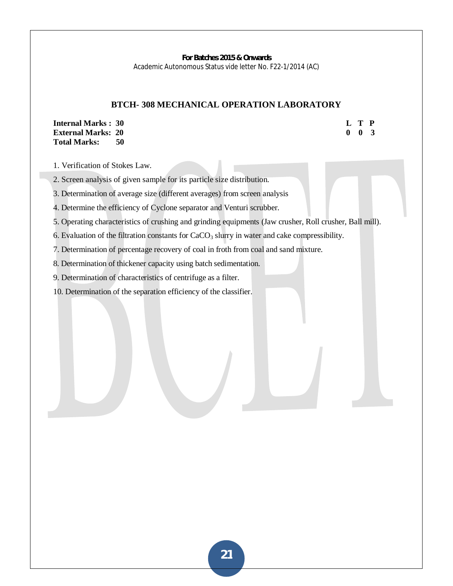#### **BTCH- 308 MECHANICAL OPERATION LABORATORY**

**Internal Marks : 30 L T P L T P External Marks: 20 0 0 3 Total Marks: 50** 

1. Verification of Stokes Law.

2. Screen analysis of given sample for its particle size distribution.

3. Determination of average size (different averages) from screen analysis

4. Determine the efficiency of Cyclone separator and Venturi scrubber.

5. Operating characteristics of crushing and grinding equipments (Jaw crusher, Roll crusher, Ball mill).

6. Evaluation of the filtration constants for  $CaCO<sub>3</sub>$  slurry in water and cake compressibility.

7. Determination of percentage recovery of coal in froth from coal and sand mixture.

8. Determination of thickener capacity using batch sedimentation.

9. Determination of characteristics of centrifuge as a filter.

10. Determination of the separation efficiency of the classifier.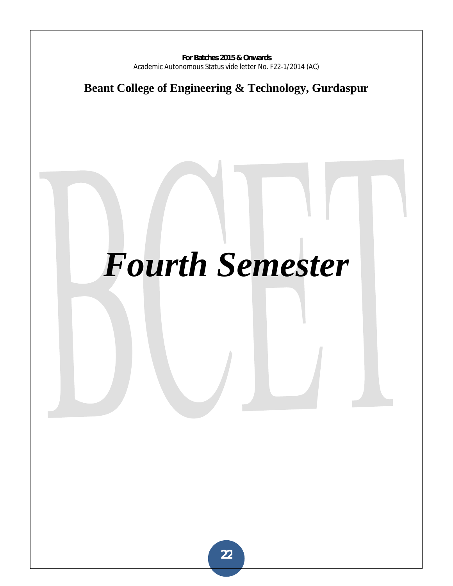# **Beant College of Engineering & Technology, Gurdaspur**

# *Fourth Semester*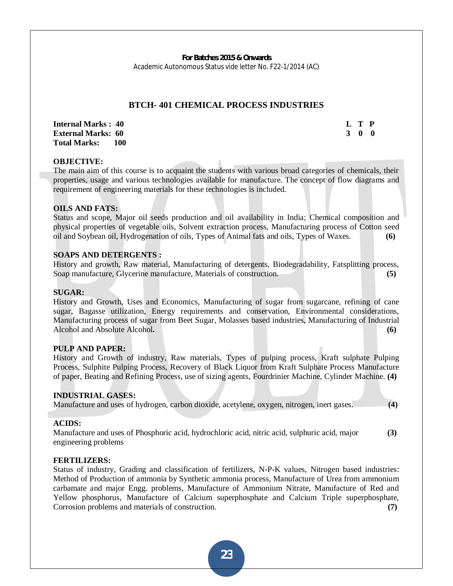## **BTCH- 401 CHEMICAL PROCESS INDUSTRIES**

**Internal Marks : 40 L T P I** L T P **External Marks: 60 3 0 0 Total Marks: 100** 

#### **OBJECTIVE:**

The main aim of this course is to acquaint the students with various broad categories of chemicals, their properties, usage and various technologies available for manufacture. The concept of flow diagrams and requirement of engineering materials for these technologies is included.

#### **OILS AND FATS:**

Status and scope, Major oil seeds production and oil availability in India; Chemical composition and physical properties of vegetable oils, Solvent extraction process, Manufacturing process of Cotton seed oil and Soybean oil, Hydrogenation of oils, Types of Animal fats and oils, Types of Waxes. **(6)**

#### **SOAPS AND DETERGENTS :**

History and growth, Raw material, Manufacturing of detergents, Biodegradability, Fatsplitting process, Soap manufacture, Glycerine manufacture, Materials of construction. **(5)**

#### **SUGAR:**

History and Growth, Uses and Economics, Manufacturing of sugar from sugarcane, refining of cane sugar, Bagasse utilization, Energy requirements and conservation, Environmental considerations, Manufacturing process of sugar from Beet Sugar, Molasses based industries, Manufacturing of Industrial Alcohol and Absolute Alcohol. **(6) Alcohol (6) (6) (6) (6) (6) (6) (6) (6) (6) (6) (6) (6) (6) (6) (6) (6) (6) (6) (6) (6) (6) (6) (6) (6) (6) (6) (6) (6) (6) (** 

#### **PULP AND PAPER:**

History and Growth of industry, Raw materials, Types of pulping process, Kraft sulphate Pulping Process, Sulphite Pulping Process, Recovery of Black Liquor from Kraft Sulphate Process Manufacture of paper, Beating and Refining Process, use of sizing agents, Fourdrinier Machine, Cylinder Machine. **(4)**

#### **INDUSTRIAL GASES:**

Manufacture and uses of hydrogen, carbon dioxide, acetylene, oxygen, nitrogen, inert gases. **(4)**

#### **ACIDS:**

Manufacture and uses of Phosphoric acid, hydrochloric acid, nitric acid, sulphuric acid, major **(3)** engineering problems

#### **FERTILIZERS:**

Status of industry, Grading and classification of fertilizers, N-P-K values, Nitrogen based industries: Method of Production of ammonia by Synthetic ammonia process, Manufacture of Urea from ammonium carbamate and major Engg. problems, Manufacture of Ammonium Nitrate, Manufacture of Red and Yellow phosphorus, Manufacture of Calcium superphosphate and Calcium Triple superphosphate, Corrosion problems and materials of construction. **(7)**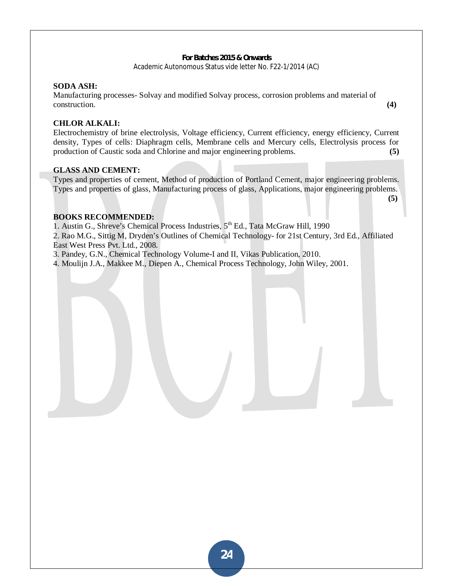#### **SODA ASH:**

Manufacturing processes- Solvay and modified Solvay process, corrosion problems and material of construction. **(4)**

#### **CHLOR ALKALI:**

Electrochemistry of brine electrolysis, Voltage efficiency, Current efficiency, energy efficiency, Current density, Types of cells: Diaphragm cells, Membrane cells and Mercury cells, Electrolysis process for production of Caustic soda and Chlorine and major engineering problems. **(5)**

#### **GLASS AND CEMENT:**

Types and properties of cement, Method of production of Portland Cement, major engineering problems. Types and properties of glass, Manufacturing process of glass, Applications, major engineering problems.

 **(5)**  $(5)$ 

### **BOOKS RECOMMENDED:**

1. Austin G., Shreve's Chemical Process Industries, 5<sup>th</sup> Ed., Tata McGraw Hill, 1990

2. Rao M.G., Sittig M, Dryden's Outlines of Chemical Technology- for 21st Century, 3rd Ed., Affiliated East West Press Pvt. Ltd., 2008.

3. Pandey, G.N., Chemical Technology Volume-I and II, Vikas Publication, 2010.

4. Moulijn J.A., Makkee M., Diepen A., Chemical Process Technology, John Wiley, 2001.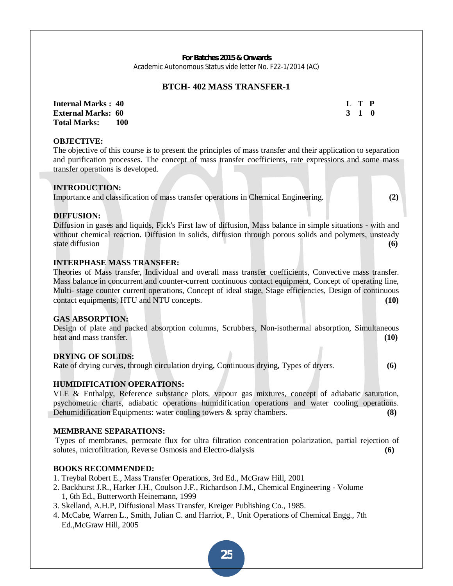# **BTCH- 402 MASS TRANSFER-1**

**Internal Marks : 40 L T P L T P External Marks: 60 3 1 0 3 2 3 4 5 6 7 7 8 7 7 8 7 7 8 7 7 8 7 7 8 7 8 7 7 8 7 8 7 7 8 7 8 7 8 7 8 7 8 7 8 7 8 7 8 7 8 7 8 7 8 7 8 7 8 7 8 7 8 7 8 7 8 7 8 7 8 7 8 7 8 7 8 7 8 7 8 7 8 7 8 7 8 7 8 7 8 7 8 7 8 7 8 7 8 7 8 7 Total Marks: 100** 

#### **OBJECTIVE:**

The objective of this course is to present the principles of mass transfer and their application to separation and purification processes. The concept of mass transfer coefficients, rate expressions and some mass transfer operations is developed.

#### **INTRODUCTION:**

Importance and classification of mass transfer operations in Chemical Engineering. **(2)**

#### **DIFFUSION:**

Diffusion in gases and liquids, Fick's First law of diffusion, Mass balance in simple situations - with and without chemical reaction. Diffusion in solids, diffusion through porous solids and polymers, unsteady state diffusion **(6) (6) (6) (6) (6) (6) (6) (6) (6) (6) (6) (6) (6) (6) (6) (6) (6) (6) (6) (6) (6) (6) (6) (6) (6) (6) (6) (6) (6) (6) (6) (6) (6) (6) (** 

#### **INTERPHASE MASS TRANSFER:**

Theories of Mass transfer, Individual and overall mass transfer coefficients, Convective mass transfer. Mass balance in concurrent and counter-current continuous contact equipment, Concept of operating line, Multi- stage counter current operations, Concept of ideal stage, Stage efficiencies, Design of continuous contact equipments, HTU and NTU concepts. **(10)**

#### **GAS ABSORPTION:**

Design of plate and packed absorption columns, Scrubbers, Non-isothermal absorption, Simultaneous heat and mass transfer. **(10)**

#### **DRYING OF SOLIDS:**

Rate of drying curves, through circulation drying, Continuous drying, Types of dryers. **(6)**

#### **HUMIDIFICATION OPERATIONS:**

VLE & Enthalpy, Reference substance plots, vapour gas mixtures, concept of adiabatic saturation, psychometric charts, adiabatic operations humidification operations and water cooling operations. Dehumidification Equipments: water cooling towers & spray chambers. **(8)**

#### **MEMBRANE SEPARATIONS:**

Types of membranes, permeate flux for ultra filtration concentration polarization, partial rejection of solutes, microfiltration, Reverse Osmosis and Electro-dialysis **(6)**

#### **BOOKS RECOMMENDED:**

- 1. Treybal Robert E., Mass Transfer Operations, 3rd Ed., McGraw Hill, 2001
- 2. Backhurst J.R., Harker J.H., Coulson J.F., Richardson J.M., Chemical Engineering Volume 1, 6th Ed., Butterworth Heinemann, 1999
- 3. Skelland, A.H.P, Diffusional Mass Transfer, Kreiger Publishing Co., 1985.
- 4. McCabe, Warren L., Smith, Julian C. and Harriot, P., Unit Operations of Chemical Engg., 7th Ed.,McGraw Hill, 2005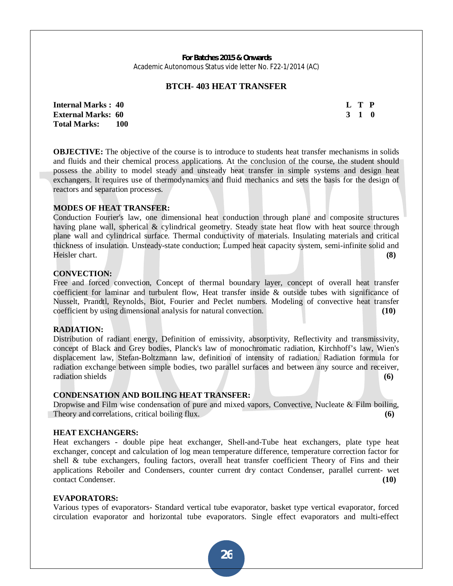#### **BTCH- 403 HEAT TRANSFER**

**Internal Marks : 40 L T P L T P External Marks: 60 3 1 0 3 1 0 3 1 0 3 1 0 3 1 0 3 1 0 3 1 0 3 1 0 3 1 0 3 1 0 3 1 0 3 1 0 3 1 0 4 0 4 0 4 0 4 0 4 0 4 0 4 0 4 0 4 0 4 0 4 0 4 0 4 Total Marks: 100** 

**OBJECTIVE:** The objective of the course is to introduce to students heat transfer mechanisms in solids and fluids and their chemical process applications. At the conclusion of the course, the student should possess the ability to model steady and unsteady heat transfer in simple systems and design heat exchangers. It requires use of thermodynamics and fluid mechanics and sets the basis for the design of reactors and separation processes.

#### **MODES OF HEAT TRANSFER:**

Conduction Fourier's law, one dimensional heat conduction through plane and composite structures having plane wall, spherical & cylindrical geometry. Steady state heat flow with heat source through plane wall and cylindrical surface. Thermal conductivity of materials. Insulating materials and critical thickness of insulation. Unsteady-state conduction; Lumped heat capacity system, semi-infinite solid and Heisler chart. **(8)**

#### **CONVECTION:**

Free and forced convection, Concept of thermal boundary layer, concept of overall heat transfer coefficient for laminar and turbulent flow, Heat transfer inside & outside tubes with significance of Nusselt, Prandtl, Reynolds, Biot, Fourier and Peclet numbers. Modeling of convective heat transfer coefficient by using dimensional analysis for natural convection. **(10)**

#### **RADIATION:**

Distribution of radiant energy, Definition of emissivity, absorptivity, Reflectivity and transmissivity, concept of Black and Grey bodies, Planck's law of monochromatic radiation, Kirchhoff's law, Wien's displacement law, Stefan-Boltzmann law, definition of intensity of radiation. Radiation formula for radiation exchange between simple bodies, two parallel surfaces and between any source and receiver, radiation shields **(6)**

### **CONDENSATION AND BOILING HEAT TRANSFER:**

Dropwise and Film wise condensation of pure and mixed vapors, Convective, Nucleate & Film boiling, Theory and correlations, critical boiling flux. **(6)** (6)

#### **HEAT EXCHANGERS:**

Heat exchangers - double pipe heat exchanger, Shell-and-Tube heat exchangers, plate type heat exchanger, concept and calculation of log mean temperature difference, temperature correction factor for shell & tube exchangers, fouling factors, overall heat transfer coefficient Theory of Fins and their applications Reboiler and Condensers, counter current dry contact Condenser, parallel current- wet contact Condenser. **(10)**

#### **EVAPORATORS:**

Various types of evaporators- Standard vertical tube evaporator, basket type vertical evaporator, forced circulation evaporator and horizontal tube evaporators. Single effect evaporators and multi-effect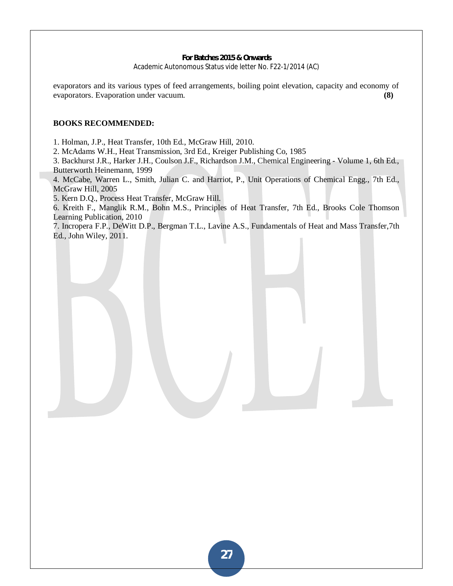evaporators and its various types of feed arrangements, boiling point elevation, capacity and economy of evaporators. Evaporation under vacuum. **(8)** 

#### **BOOKS RECOMMENDED:**

1. Holman, J.P., Heat Transfer, 10th Ed., McGraw Hill, 2010.

2. McAdams W.H., Heat Transmission, 3rd Ed., Kreiger Publishing Co, 1985

3. Backhurst J.R., Harker J.H., Coulson J.F., Richardson J.M., Chemical Engineering - Volume 1, 6th Ed., Butterworth Heinemann, 1999

4. McCabe, Warren L., Smith, Julian C. and Harriot, P., Unit Operations of Chemical Engg., 7th Ed., McGraw Hill, 2005

5. Kern D.Q., Process Heat Transfer, McGraw Hill.

6. Kreith F., Manglik R.M., Bohn M.S., Principles of Heat Transfer, 7th Ed., Brooks Cole Thomson Learning Publication, 2010

7. Incropera F.P., DeWitt D.P., Bergman T.L., Lavine A.S., Fundamentals of Heat and Mass Transfer,7th Ed., John Wiley, 2011.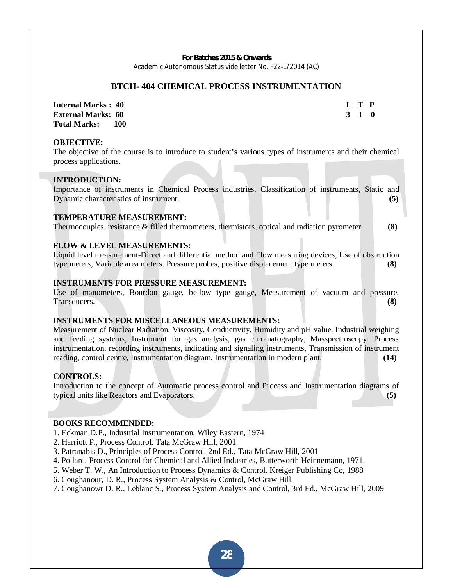#### **BTCH- 404 CHEMICAL PROCESS INSTRUMENTATION**

**Internal Marks : 40 L T P L T P External Marks: 60 3 1 0 3 2 3 4 5 6 7 7 8 7 7 8 7 7 8 7 7 8 7 8 7 7 8 7 7 8 7 8 7 8 7 8 7 8 7 8 7 8 7 8 7 8 7 8 7 8 7 8 7 8 7 8 7 8 7 8 7 8 7 8 7 8 7 8 7 8 7 8 7 8 7 8 7 8 7 8 7 8 7 8 7 8 7 8 7 8 7 8 7 8 7 8 7 8 7 8 7 8 Total Marks: 100** 

#### **OBJECTIVE:**

The objective of the course is to introduce to student's various types of instruments and their chemical process applications.

#### **INTRODUCTION:**

Importance of instruments in Chemical Process industries, Classification of instruments, Static and Dynamic characteristics of instrument. **(5)** (5)

#### **TEMPERATURE MEASUREMENT:**

Thermocouples, resistance & filled thermometers, thermistors, optical and radiation pyrometer **(8)**

#### **FLOW & LEVEL MEASUREMENTS:**

Liquid level measurement-Direct and differential method and Flow measuring devices, Use of obstruction type meters, Variable area meters. Pressure probes, positive displacement type meters. **(8)** 

#### **INSTRUMENTS FOR PRESSURE MEASUREMENT:**

Use of manometers, Bourdon gauge, bellow type gauge, Measurement of vacuum and pressure, Transducers. **(8)**

#### **INSTRUMENTS FOR MISCELLANEOUS MEASUREMENTS:**

Measurement of Nuclear Radiation, Viscosity, Conductivity, Humidity and pH value, Industrial weighing and feeding systems, Instrument for gas analysis, gas chromatography, Masspectroscopy. Process instrumentation, recording instruments, indicating and signaling instruments, Transmission of instrument reading, control centre, Instrumentation diagram, Instrumentation in modern plant. **(14)** 

#### **CONTROLS:**

Introduction to the concept of Automatic process control and Process and Instrumentation diagrams of typical units like Reactors and Evaporators. **(5)** 

#### **BOOKS RECOMMENDED:**

- 1. Eckman D.P., Industrial Instrumentation, Wiley Eastern, 1974
- 2. Harriott P., Process Control, Tata McGraw Hill, 2001.
- 3. Patranabis D., Principles of Process Control, 2nd Ed., Tata McGraw Hill, 2001
- 4. Pollard, Process Control for Chemical and Allied Industries, Butterworth Heinnemann, 1971.
- 5. Weber T. W., An Introduction to Process Dynamics & Control, Kreiger Publishing Co, 1988
- 6. Coughanour, D. R., Process System Analysis & Control, McGraw Hill.
- 7. Coughanowr D. R., Leblanc S., Process System Analysis and Control, 3rd Ed., McGraw Hill, 2009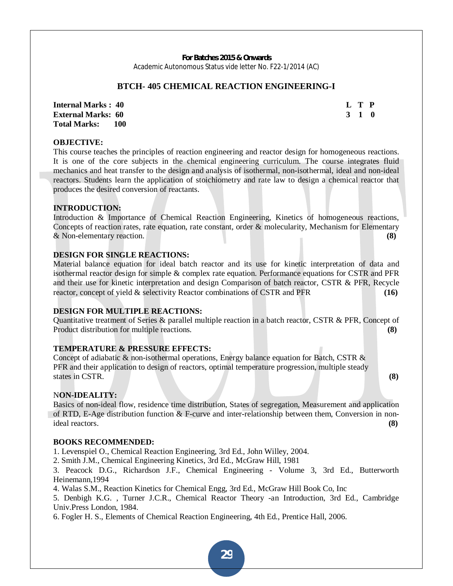### **BTCH- 405 CHEMICAL REACTION ENGINEERING-I**

**Internal Marks : 40 L T P L T P External Marks: 60 3 1 0 3 2 3 4 5 6 7 7 8 7 7 8 7 7 8 7 7 8 7 8 7 7 8 7 7 8 7 8 7 8 7 8 7 8 7 8 7 8 7 8 7 8 7 8 7 8 7 8 7 8 7 8 7 8 7 8 7 8 7 8 7 8 7 8 7 8 7 8 7 8 7 8 7 8 7 8 7 8 7 8 7 8 7 8 7 8 7 8 7 8 7 8 7 8 7 8 7 8 Total Marks: 100** 

#### **OBJECTIVE:**

This course teaches the principles of reaction engineering and reactor design for homogeneous reactions. It is one of the core subjects in the chemical engineering curriculum. The course integrates fluid mechanics and heat transfer to the design and analysis of isothermal, non-isothermal, ideal and non-ideal reactors. Students learn the application of stoichiometry and rate law to design a chemical reactor that produces the desired conversion of reactants.

#### **INTRODUCTION:**

Introduction & Importance of Chemical Reaction Engineering, Kinetics of homogeneous reactions, Concepts of reaction rates, rate equation, rate constant, order & molecularity, Mechanism for Elementary & Non-elementary reaction. **(8)** 

#### **DESIGN FOR SINGLE REACTIONS:**

Material balance equation for ideal batch reactor and its use for kinetic interpretation of data and isothermal reactor design for simple & complex rate equation. Performance equations for CSTR and PFR and their use for kinetic interpretation and design Comparison of batch reactor, CSTR & PFR, Recycle reactor, concept of yield & selectivity Reactor combinations of CSTR and PFR **(16)** 

#### **DESIGN FOR MULTIPLE REACTIONS:**

Quantitative treatment of Series & parallel multiple reaction in a batch reactor, CSTR & PFR, Concept of Product distribution for multiple reactions. **(8)** 

#### **TEMPERATURE & PRESSURE EFFECTS:**

Concept of adiabatic & non-isothermal operations, Energy balance equation for Batch, CSTR & PFR and their application to design of reactors, optimal temperature progression, multiple steady states in CSTR. **(8) (8)** 

### N**ON-IDEALITY:**

Basics of non-ideal flow, residence time distribution, States of segregation, Measurement and application of RTD, E-Age distribution function & F-curve and inter-relationship between them, Conversion in nonideal reactors. **(8)**

#### **BOOKS RECOMMENDED:**

1. Levenspiel O., Chemical Reaction Engineering, 3rd Ed., John Willey, 2004.

2. Smith J.M., Chemical Engineering Kinetics, 3rd Ed., McGraw Hill, 1981

3. Peacock D.G., Richardson J.F., Chemical Engineering - Volume 3, 3rd Ed., Butterworth Heinemann,1994

4. Walas S.M., Reaction Kinetics for Chemical Engg, 3rd Ed., McGraw Hill Book Co, Inc

5. Denbigh K.G. , Turner J.C.R., Chemical Reactor Theory -an Introduction, 3rd Ed., Cambridge Univ.Press London, 1984.

6. Fogler H. S., Elements of Chemical Reaction Engineering, 4th Ed., Prentice Hall, 2006.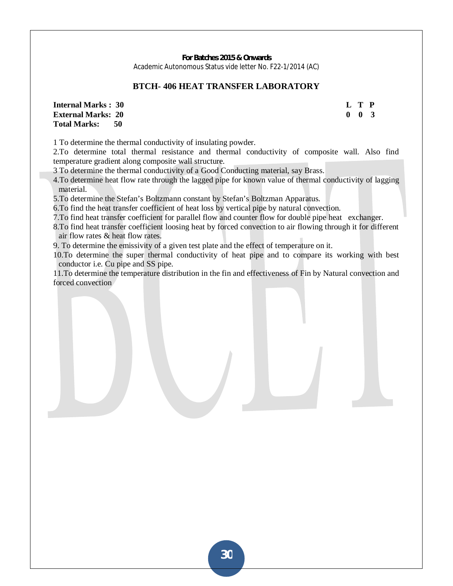## **BTCH- 406 HEAT TRANSFER LABORATORY**

**Internal Marks : 30 L T P L T P External Marks: 20** 0 0 3 **Total Marks: 50** 

1 To determine the thermal conductivity of insulating powder.

2.To determine total thermal resistance and thermal conductivity of composite wall. Also find temperature gradient along composite wall structure.

3 To determine the thermal conductivity of a Good Conducting material, say Brass.

4.To determine heat flow rate through the lagged pipe for known value of thermal conductivity of lagging material.

5.To determine the Stefan's Boltzmann constant by Stefan's Boltzman Apparatus.

6.To find the heat transfer coefficient of heat loss by vertical pipe by natural convection.

7.To find heat transfer coefficient for parallel flow and counter flow for double pipe heat exchanger.

8.To find heat transfer coefficient loosing heat by forced convection to air flowing through it for different air flow rates & heat flow rates.

9. To determine the emissivity of a given test plate and the effect of temperature on it.

10.To determine the super thermal conductivity of heat pipe and to compare its working with best conductor i.e. Cu pipe and SS pipe.

11.To determine the temperature distribution in the fin and effectiveness of Fin by Natural convection and forced convection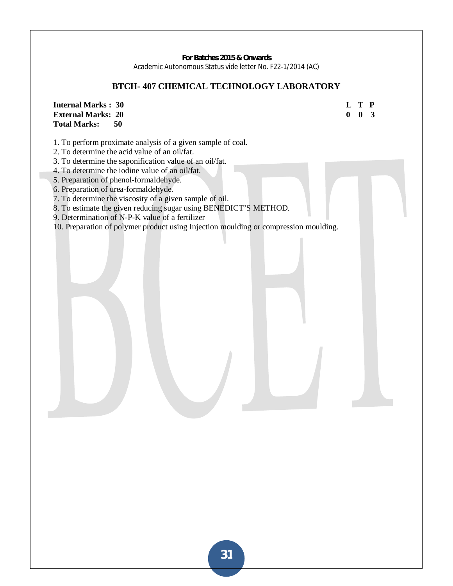# **BTCH- 407 CHEMICAL TECHNOLOGY LABORATORY**

**Internal Marks : 30 L T P External Marks: 20 Total Marks: 50**  1. To perform proximate analysis of a given sample of coal. 2. To determine the acid value of an oil/fat. 3. To determine the saponification value of an oil/fat. 4. To determine the iodine value of an oil/fat. 5. Preparation of phenol-formaldehyde. 6. Preparation of urea-formaldehyde. 7. To determine the viscosity of a given sample of oil. 8. To estimate the given reducing sugar using BENEDICT'S METHOD. 9. Determination of N-P-K value of a fertilizer 10. Preparation of polymer product using Injection moulding or compression moulding.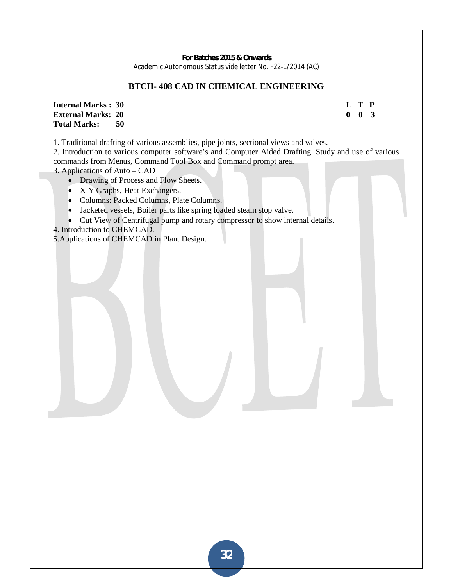# **BTCH- 408 CAD IN CHEMICAL ENGINEERING**

**Internal Marks : 30** L T P **External Marks : 20** C **I** T P **D I** T P **D I** T **P D I I** T **P D 0 0 3 External Marks: 20 Total Marks: 50** 

1. Traditional drafting of various assemblies, pipe joints, sectional views and valves.

2. Introduction to various computer software's and Computer Aided Drafting. Study and use of various commands from Menus, Command Tool Box and Command prompt area.

3. Applications of Auto – CAD

- Drawing of Process and Flow Sheets.
- X-Y Graphs, Heat Exchangers.
- Columns: Packed Columns, Plate Columns.
- Jacketed vessels, Boiler parts like spring loaded steam stop valve.
- Cut View of Centrifugal pump and rotary compressor to show internal details.
- 4. Introduction to CHEMCAD.

5.Applications of CHEMCAD in Plant Design.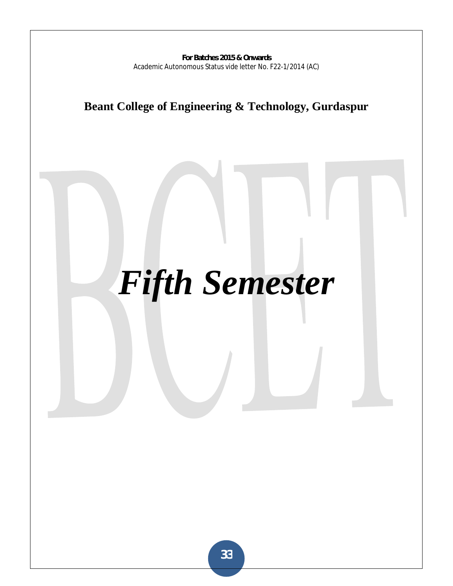**Beant College of Engineering & Technology, Gurdaspur** 

# *Fifth Semester*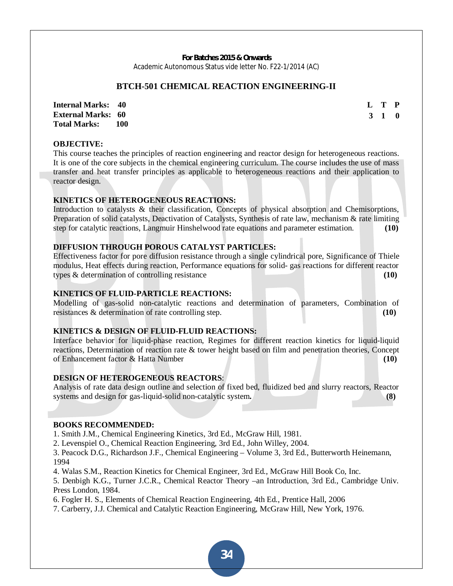#### **BTCH-501 CHEMICAL REACTION ENGINEERING-II**

**Internal Marks: 40 External Marks: 60 Total Marks: 100 L T P 3 1 0**

#### **OBJECTIVE:**

This course teaches the principles of reaction engineering and reactor design for heterogeneous reactions. It is one of the core subjects in the chemical engineering curriculum. The course includes the use of mass transfer and heat transfer principles as applicable to heterogeneous reactions and their application to reactor design.

#### **KINETICS OF HETEROGENEOUS REACTIONS:**

Introduction to catalysts & their classification, Concepts of physical absorption and Chemisorptions, Preparation of solid catalysts, Deactivation of Catalysts, Synthesis of rate law, mechanism & rate limiting step for catalytic reactions, Langmuir Hinshelwood rate equations and parameter estimation. **(10)**

#### **DIFFUSION THROUGH POROUS CATALYST PARTICLES:**

Effectiveness factor for pore diffusion resistance through a single cylindrical pore, Significance of Thiele modulus, Heat effects during reaction, Performance equations for solid- gas reactions for different reactor types & determination of controlling resistance **(10)**

#### **KINETICS OF FLUID-PARTICLE REACTIONS:**

Modelling of gas-solid non-catalytic reactions and determination of parameters, Combination of resistances & determination of rate controlling step. **(10)**

#### **KINETICS & DESIGN OF FLUID-FLUID REACTIONS:**

Interface behavior for liquid-phase reaction, Regimes for different reaction kinetics for liquid-liquid reactions, Determination of reaction rate & tower height based on film and penetration theories, Concept of Enhancement factor & Hatta Number **(10)**

#### **DESIGN OF HETEROGENEOUS REACTORS**:

Analysis of rate data design outline and selection of fixed bed, fluidized bed and slurry reactors, Reactor systems and design for gas-liquid-solid non-catalytic system**. (8)**

#### **BOOKS RECOMMENDED:**

1. Smith J.M., Chemical Engineering Kinetics, 3rd Ed., McGraw Hill, 1981.

2. Levenspiel O., Chemical Reaction Engineering, 3rd Ed., John Willey, 2004.

3. Peacock D.G., Richardson J.F., Chemical Engineering – Volume 3, 3rd Ed., Butterworth Heinemann, 1994

4. Walas S.M., Reaction Kinetics for Chemical Engineer, 3rd Ed., McGraw Hill Book Co, Inc.

5. Denbigh K.G., Turner J.C.R., Chemical Reactor Theory –an Introduction, 3rd Ed., Cambridge Univ. Press London, 1984.

6. Fogler H. S., Elements of Chemical Reaction Engineering, 4th Ed., Prentice Hall, 2006

7. Carberry, J.J. Chemical and Catalytic Reaction Engineering, McGraw Hill, New York, 1976.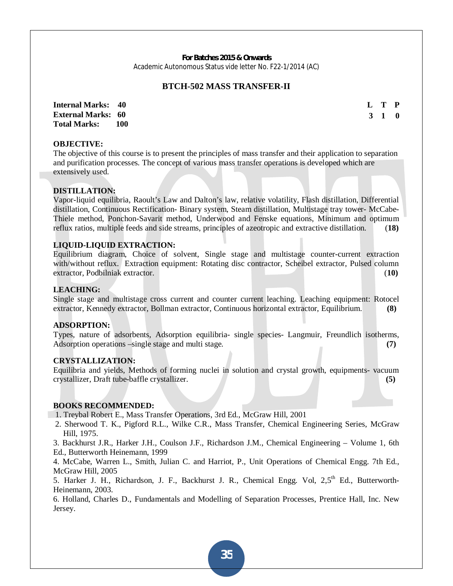#### **BTCH-502 MASS TRANSFER-II**

**Internal Marks: 40 External Marks: 60 Total Marks: 100**   **L T P 3 1 0**

## **OBJECTIVE:**

The objective of this course is to present the principles of mass transfer and their application to separation and purification processes. The concept of various mass transfer operations is developed which are extensively used.

#### **DISTILLATION:**

Vapor-liquid equilibria, Raoult's Law and Dalton's law, relative volatility, Flash distillation, Differential distillation, Continuous Rectification- Binary system, Steam distillation, Multistage tray tower- McCabe-Thiele method, Ponchon-Savarit method, Underwood and Fenske equations, Minimum and optimum reflux ratios, multiple feeds and side streams, principles of azeotropic and extractive distillation. (**18)**

#### **LIQUID-LIQUID EXTRACTION:**

Equilibrium diagram, Choice of solvent, Single stage and multistage counter-current extraction with/without reflux. Extraction equipment: Rotating disc contractor, Scheibel extractor, Pulsed column extractor, Podbilniak extractor. (**10)**

#### **LEACHING:**

Single stage and multistage cross current and counter current leaching. Leaching equipment: Rotocel extractor, Kennedy extractor, Bollman extractor, Continuous horizontal extractor, Equilibrium. **(8)**

#### **ADSORPTION:**

Types, nature of adsorbents, Adsorption equilibria- single species- Langmuir, Freundlich isotherms, Adsorption operations –single stage and multi stage. **(7)**

#### **CRYSTALLIZATION:**

Equilibria and yields, Methods of forming nuclei in solution and crystal growth, equipments- vacuum crystallizer, Draft tube-baffle crystallizer. **(5)**

#### **BOOKS RECOMMENDED:**

- 1. Treybal Robert E., Mass Transfer Operations, 3rd Ed., McGraw Hill, 2001
- 2. Sherwood T. K., Pigford R.L., Wilke C.R., Mass Transfer, Chemical Engineering Series, McGraw Hill, 1975.

3. Backhurst J.R., Harker J.H., Coulson J.F., Richardson J.M., Chemical Engineering – Volume 1, 6th Ed., Butterworth Heinemann, 1999

4. McCabe, Warren L., Smith, Julian C. and Harriot, P., Unit Operations of Chemical Engg. 7th Ed., McGraw Hill, 2005

5. Harker J. H., Richardson, J. F., Backhurst J. R., Chemical Engg. Vol. 2.5<sup>th</sup> Ed., Butterworth-Heinemann, 2003.

6. Holland, Charles D., Fundamentals and Modelling of Separation Processes, Prentice Hall, Inc. New Jersey.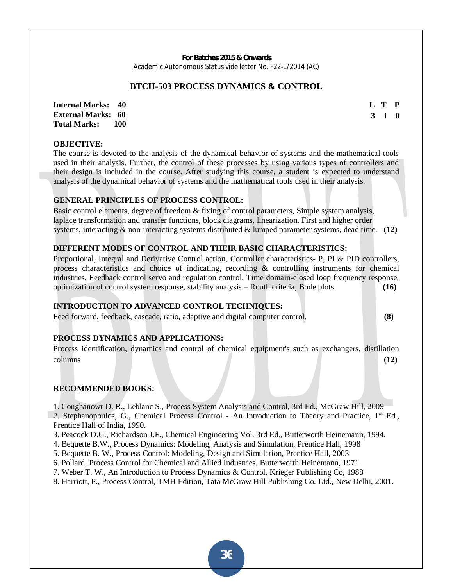#### **BTCH-503 PROCESS DYNAMICS & CONTROL**

**Internal Marks: 40 External Marks: 60 Total Marks: 100**  **L T P 3 1 0**

# **OBJECTIVE:**

The course is devoted to the analysis of the dynamical behavior of systems and the mathematical tools used in their analysis. Further, the control of these processes by using various types of controllers and their design is included in the course. After studying this course, a student is expected to understand analysis of the dynamical behavior of systems and the mathematical tools used in their analysis.

## **GENERAL PRINCIPLES OF PROCESS CONTROL:**

Basic control elements, degree of freedom & fixing of control parameters, Simple system analysis, laplace transformation and transfer functions, block diagrams, linearization. First and higher order systems, interacting & non-interacting systems distributed & lumped parameter systems, dead time. **(12)**

# **DIFFERENT MODES OF CONTROL AND THEIR BASIC CHARACTERISTICS:**

Proportional, Integral and Derivative Control action, Controller characteristics- P, PI & PID controllers, process characteristics and choice of indicating, recording & controlling instruments for chemical industries, Feedback control servo and regulation control. Time domain-closed loop frequency response, optimization of control system response, stability analysis – Routh criteria, Bode plots. **(16)**

#### **INTRODUCTION TO ADVANCED CONTROL TECHNIQUES:**

Feed forward, feedback, cascade, ratio, adaptive and digital computer control. **(8)**

#### **PROCESS DYNAMICS AND APPLICATIONS:**

Process identification, dynamics and control of chemical equipment's such as exchangers, distillation columns **(12)**

#### **RECOMMENDED BOOKS:**

1. Coughanowr D. R., Leblanc S., Process System Analysis and Control, 3rd Ed., McGraw Hill, 2009

2. Stephanopoulos, G., Chemical Process Control - An Introduction to Theory and Practice, 1<sup>st</sup> Ed., Prentice Hall of India, 1990.

- 3. Peacock D.G., Richardson J.F., Chemical Engineering Vol. 3rd Ed., Butterworth Heinemann, 1994.
- 4. Bequette B.W., Process Dynamics: Modeling, Analysis and Simulation, Prentice Hall, 1998
- 5. Bequette B. W., Process Control: Modeling, Design and Simulation, Prentice Hall, 2003
- 6. Pollard, Process Control for Chemical and Allied Industries, Butterworth Heinemann, 1971.
- 7. Weber T. W., An Introduction to Process Dynamics & Control, Krieger Publishing Co, 1988
- 8. Harriott, P., Process Control, TMH Edition, Tata McGraw Hill Publishing Co. Ltd., New Delhi, 2001.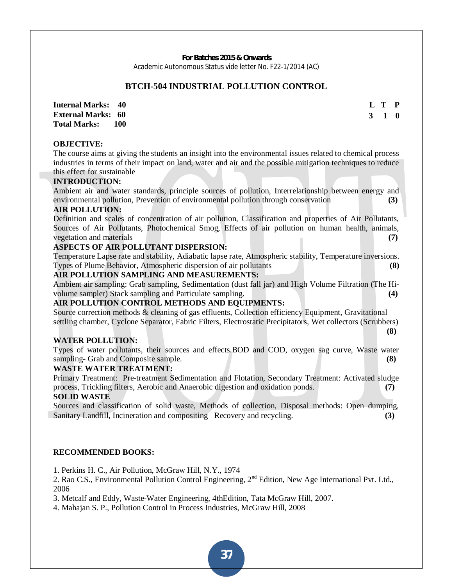## **BTCH-504 INDUSTRIAL POLLUTION CONTROL**

**Internal Marks: 40 External Marks: 60 Total Marks: 100**   **L T P 3 1 0**

#### **OBJECTIVE:**

The course aims at giving the students an insight into the environmental issues related to chemical process industries in terms of their impact on land, water and air and the possible mitigation techniques to reduce this effect for sustainable

#### **INTRODUCTION:**

Ambient air and water standards, principle sources of pollution, Interrelationship between energy and environmental pollution, Prevention of environmental pollution through conservation **(3)**

#### **AIR POLLUTION:**

Definition and scales of concentration of air pollution, Classification and properties of Air Pollutants, Sources of Air Pollutants, Photochemical Smog, Effects of air pollution on human health, animals, vegetation and materials **(7)**

#### **ASPECTS OF AIR POLLUTANT DISPERSION:**

Temperature Lapse rate and stability, Adiabatic lapse rate, Atmospheric stability, Temperature inversions. Types of Plume Behavior, Atmospheric dispersion of air pollutants **(8)**

#### **AIR POLLUTION SAMPLING AND MEASUREMENTS:**

Ambient air sampling: Grab sampling, Sedimentation (dust fall jar) and High Volume Filtration (The Hivolume sampler) Stack sampling and Particulate sampling. **(4)**

#### **AIR POLLUTION CONTROL METHODS AND EQUIPMENTS:**

Source correction methods & cleaning of gas effluents, Collection efficiency Equipment, Gravitational settling chamber, Cyclone Separator, Fabric Filters, Electrostatic Precipitators, Wet collectors (Scrubbers)  **(8)** 

#### **WATER POLLUTION:**

Types of water pollutants, their sources and effects.BOD and COD, oxygen sag curve, Waste water sampling- Grab and Composite sample. **(8)**

#### **WASTE WATER TREATMENT:**

Primary Treatment: Pre-treatment Sedimentation and Flotation, Secondary Treatment: Activated sludge process, Trickling filters, Aerobic and Anaerobic digestion and oxidation ponds. **(7)**

## **SOLID WASTE**

Sources and classification of solid waste, Methods of collection, Disposal methods: Open dumping, Sanitary Landfill, Incineration and compositing Recovery and recycling. **(3)**

#### **RECOMMENDED BOOKS:**

1. Perkins H. C., Air Pollution, McGraw Hill, N.Y., 1974

2. Rao C.S., Environmental Pollution Control Engineering, 2<sup>nd</sup> Edition, New Age International Pvt. Ltd., 2006

3. Metcalf and Eddy, Waste-Water Engineering, 4thEdition, Tata McGraw Hill, 2007.

4. Mahajan S. P., Pollution Control in Process Industries, McGraw Hill, 2008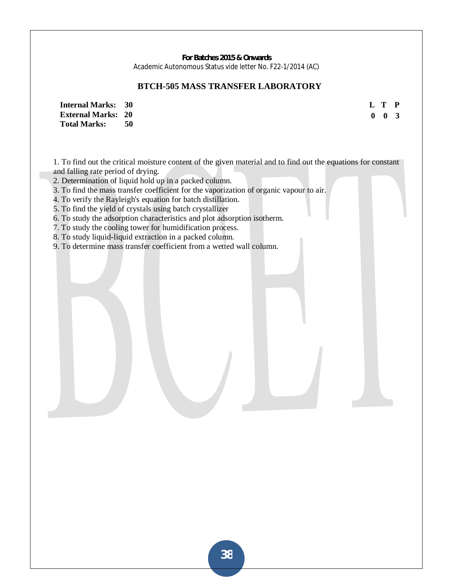## **BTCH-505 MASS TRANSFER LABORATORY**

**L T P 0 0 3** 

**Internal Marks: 30 External Marks: 20 Total Marks: 50** 

1. To find out the critical moisture content of the given material and to find out the equations for constant and falling rate period of drying.

2. Determination of liquid hold up in a packed column.

3. To find the mass transfer coefficient for the vaporization of organic vapour to air.

4. To verify the Rayleigh's equation for batch distillation.

5. To find the yield of crystals using batch crystallizer

6. To study the adsorption characteristics and plot adsorption isotherm.

7. To study the cooling tower for humidification process.

8. To study liquid-liquid extraction in a packed column.

9. To determine mass transfer coefficient from a wetted wall column.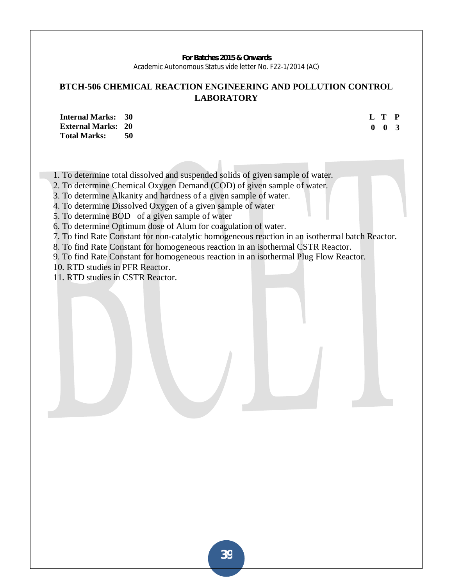## **BTCH-506 CHEMICAL REACTION ENGINEERING AND POLLUTION CONTROL LABORATORY**

**Internal Marks: 30 External Marks: 20 Total Marks: 50**  **L T P 0 0 3** 

1. To determine total dissolved and suspended solids of given sample of water.

2. To determine Chemical Oxygen Demand (COD) of given sample of water.

3. To determine Alkanity and hardness of a given sample of water.

4. To determine Dissolved Oxygen of a given sample of water

5. To determine BOD of a given sample of water

6. To determine Optimum dose of Alum for coagulation of water.

7. To find Rate Constant for non-catalytic homogeneous reaction in an isothermal batch Reactor.

8. To find Rate Constant for homogeneous reaction in an isothermal CSTR Reactor.

9. To find Rate Constant for homogeneous reaction in an isothermal Plug Flow Reactor.

10. RTD studies in PFR Reactor.

11. RTD studies in CSTR Reactor.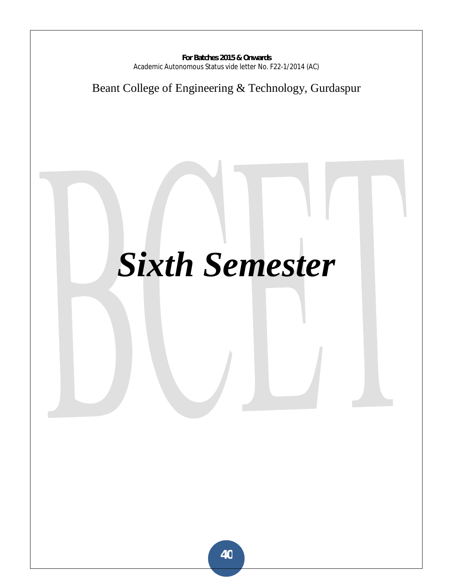## Beant College of Engineering & Technology, Gurdaspur

# *Sixth Semester*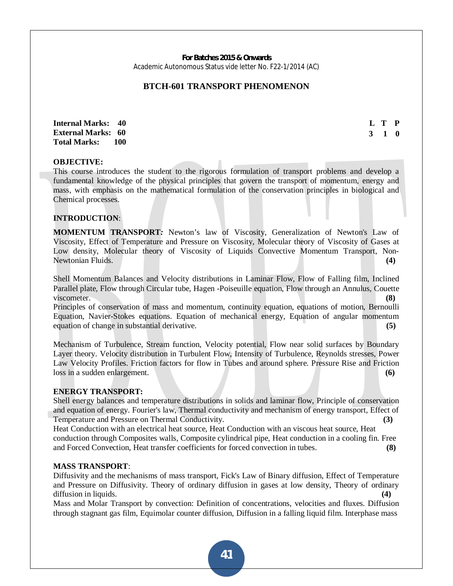## **BTCH-601 TRANSPORT PHENOMENON**

**Internal Marks: 40 External Marks: 60 Total Marks: 100**  **L T P 3 1 0**

#### **OBJECTIVE:**

This course introduces the student to the rigorous formulation of transport problems and develop a fundamental knowledge of the physical principles that govern the transport of momentum, energy and mass, with emphasis on the mathematical formulation of the conservation principles in biological and Chemical processes.

#### **INTRODUCTION**:

**MOMENTUM TRANSPORT***:* Newton's law of Viscosity, Generalization of Newton's Law of Viscosity, Effect of Temperature and Pressure on Viscosity, Molecular theory of Viscosity of Gases at Low density, Molecular theory of Viscosity of Liquids Convective Momentum Transport, Non-Newtonian Fluids. **(4)**

Shell Momentum Balances and Velocity distributions in Laminar Flow, Flow of Falling film, Inclined Parallel plate, Flow through Circular tube, Hagen -Poiseuille equation, Flow through an Annulus, Couette viscometer. **(8) (8)** 

Principles of conservation of mass and momentum, continuity equation, equations of motion, Bernoulli Equation, Navier-Stokes equations. Equation of mechanical energy, Equation of angular momentum equation of change in substantial derivative. **(5)**

Mechanism of Turbulence, Stream function, Velocity potential, Flow near solid surfaces by Boundary Layer theory. Velocity distribution in Turbulent Flow, Intensity of Turbulence, Reynolds stresses, Power Law Velocity Profiles. Friction factors for flow in Tubes and around sphere. Pressure Rise and Friction loss in a sudden enlargement. **(6)**

#### **ENERGY TRANSPORT:**

Shell energy balances and temperature distributions in solids and laminar flow, Principle of conservation and equation of energy. Fourier's law, Thermal conductivity and mechanism of energy transport, Effect of Temperature and Pressure on Thermal Conductivity. **(3)**

Heat Conduction with an electrical heat source, Heat Conduction with an viscous heat source, Heat conduction through Composites walls, Composite cylindrical pipe, Heat conduction in a cooling fin. Free and Forced Convection, Heat transfer coefficients for forced convection in tubes. **(8)**

#### **MASS TRANSPORT**:

Diffusivity and the mechanisms of mass transport, Fick's Law of Binary diffusion, Effect of Temperature and Pressure on Diffusivity. Theory of ordinary diffusion in gases at low density, Theory of ordinary diffusion in liquids.

Mass and Molar Transport by convection: Definition of concentrations, velocities and fluxes. Diffusion through stagnant gas film, Equimolar counter diffusion, Diffusion in a falling liquid film. Interphase mass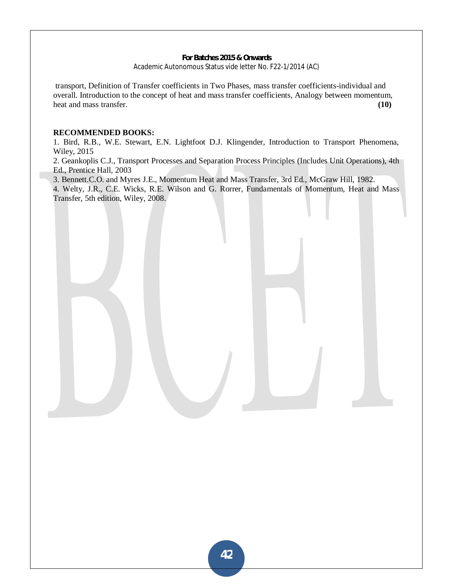transport, Definition of Transfer coefficients in Two Phases, mass transfer coefficients-individual and overall. Introduction to the concept of heat and mass transfer coefficients, Analogy between momentum, heat and mass transfer. **(10)** 

#### **RECOMMENDED BOOKS:**

1. Bird, R.B., W.E. Stewart, E.N. Lightfoot D.J. Klingender, Introduction to Transport Phenomena, Wiley, 2015

2. Geankoplis C.J., Transport Processes and Separation Process Principles (Includes Unit Operations), 4th Ed., Prentice Hall, 2003

3. Bennett.C.O. and Myres J.E., Momentum Heat and Mass Transfer, 3rd Ed., McGraw Hill, 1982.

4. Welty, J.R., C.E. Wicks, R.E. Wilson and G. Rorrer, Fundamentals of Momentum, Heat and Mass Transfer, 5th edition, Wiley, 2008.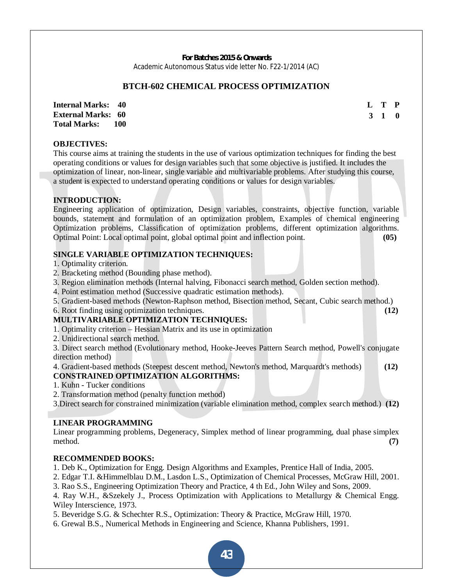#### **BTCH-602 CHEMICAL PROCESS OPTIMIZATION**

**Internal Marks: 40 External Marks: 60 Total Marks: 100**  **L T P 3 1 0** 

## **OBJECTIVES:**

This course aims at training the students in the use of various optimization techniques for finding the best operating conditions or values for design variables such that some objective is justified. It includes the optimization of linear, non-linear, single variable and multivariable problems. After studying this course, a student is expected to understand operating conditions or values for design variables.

#### **INTRODUCTION:**

Engineering application of optimization, Design variables, constraints, objective function, variable bounds, statement and formulation of an optimization problem, Examples of chemical engineering Optimization problems, Classification of optimization problems, different optimization algorithms. Optimal Point: Local optimal point, global optimal point and inflection point. **(05)**

## **SINGLE VARIABLE OPTIMIZATION TECHNIQUES:**

1. Optimality criterion.

- 2. Bracketing method (Bounding phase method).
- 3. Region elimination methods (Internal halving, Fibonacci search method, Golden section method).
- 4. Point estimation method (Successive quadratic estimation methods).
- 5. Gradient-based methods (Newton-Raphson method, Bisection method, Secant, Cubic search method.)
- 6. Root finding using optimization techniques. **(12)**

#### **MULTIVARIABLE OPTIMIZATION TECHNIQUES:**

- 1. Optimality criterion Hessian Matrix and its use in optimization
- 2. Unidirectional search method.

3. Direct search method (Evolutionary method, Hooke-Jeeves Pattern Search method, Powell's conjugate direction method)

4. Gradient-based methods (Steepest descent method, Newton's method, Marquardt's methods) **(12)**

#### **CONSTRAINED OPTIMIZATION ALGORITHMS:**

1. Kuhn - Tucker conditions

2. Transformation method (penalty function method)

3.Direct search for constrained minimization (variable elimination method, complex search method.) **(12)**

#### **LINEAR PROGRAMMING**

Linear programming problems, Degeneracy, Simplex method of linear programming, dual phase simplex method. **(7)** 

#### **RECOMMENDED BOOKS:**

1. Deb K., Optimization for Engg. Design Algorithms and Examples, Prentice Hall of India, 2005.

2. Edgar T.I. &Himmelblau D.M., Lasdon L.S., Optimization of Chemical Processes, McGraw Hill, 2001.

3. Rao S.S., Engineering Optimization Theory and Practice, 4 th Ed., John Wiley and Sons, 2009.

4. Ray W.H., &Szekely J., Process Optimization with Applications to Metallurgy & Chemical Engg. Wiley Interscience, 1973.

5. Beveridge S.G. & Schechter R.S., Optimization: Theory & Practice, McGraw Hill, 1970.

6. Grewal B.S., Numerical Methods in Engineering and Science, Khanna Publishers, 1991.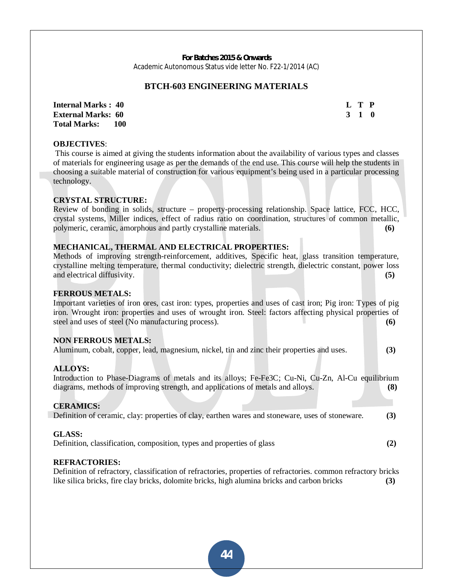#### **BTCH-603 ENGINEERING MATERIALS**

**Internal Marks : 40 L T P L T P External Marks: 60 3 1 0 3 1 0 3 1 0 3 1 0 3 1 0 3 1 0 3 1 0 3 1 0 3 1 0 3 1 0 3 1 0 3 1 0 3 1 0 4 0 4 0 4 0 4 0 4 0 4 0 4 0 4 0 4 0 4 0 4 0 4 0 4 Total Marks: 100** 

## **OBJECTIVES**:

 This course is aimed at giving the students information about the availability of various types and classes of materials for engineering usage as per the demands of the end use. This course will help the students in choosing a suitable material of construction for various equipment's being used in a particular processing technology.

#### **CRYSTAL STRUCTURE:**

Review of bonding in solids, structure – property-processing relationship. Space lattice, FCC, HCC, crystal systems, Miller indices, effect of radius ratio on coordination, structures of common metallic, polymeric, ceramic, amorphous and partly crystalline materials. **(6)** 

#### **MECHANICAL, THERMAL AND ELECTRICAL PROPERTIES:**

Methods of improving strength-reinforcement, additives, Specific heat, glass transition temperature, crystalline melting temperature, thermal conductivity; dielectric strength, dielectric constant, power loss and electrical diffusivity. **(5)**

#### **FERROUS METALS:**

Important varieties of iron ores, cast iron: types, properties and uses of cast iron; Pig iron: Types of pig iron. Wrought iron: properties and uses of wrought iron. Steel: factors affecting physical properties of steel and uses of steel (No manufacturing process). **(6)** (6)

#### **NON FERROUS METALS:**

|  |  |  |  | Aluminum, cobalt, copper, lead, magnesium, nickel, tin and zinc their properties and uses. |  |  |  |  |  |  | (3) |
|--|--|--|--|--------------------------------------------------------------------------------------------|--|--|--|--|--|--|-----|
|--|--|--|--|--------------------------------------------------------------------------------------------|--|--|--|--|--|--|-----|

#### **ALLOYS:**

Introduction to Phase-Diagrams of metals and its alloys; Fe-Fe3C; Cu-Ni, Cu-Zn, Al-Cu equilibrium diagrams, methods of improving strength, and applications of metals and alloys. **(8)**

#### **CERAMICS:**

Definition of ceramic, clay: properties of clay, earthen wares and stoneware, uses of stoneware. **(3)**

#### **GLASS:**

Definition, classification, composition, types and properties of glass **(2)**

#### **REFRACTORIES:**

Definition of refractory, classification of refractories, properties of refractories. common refractory bricks like silica bricks, fire clay bricks, dolomite bricks, high alumina bricks and carbon bricks **(3)**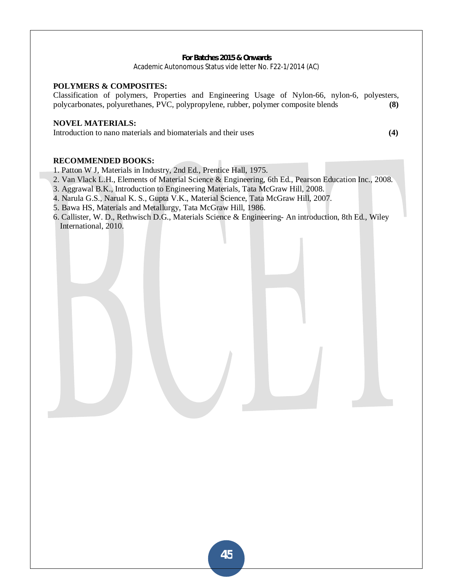#### **POLYMERS & COMPOSITES:**

Classification of polymers, Properties and Engineering Usage of Nylon-66, nylon-6, polyesters, polycarbonates, polyurethanes, PVC, polypropylene, rubber, polymer composite blends **(8)** 

#### **NOVEL MATERIALS:**

Introduction to nano materials and biomaterials and their uses **(4)**

## **RECOMMENDED BOOKS:**

- 1. Patton W J, Materials in Industry, 2nd Ed., Prentice Hall, 1975.
- 2. Van Vlack L.H., Elements of Material Science & Engineering, 6th Ed., Pearson Education Inc., 2008.
- 3. Aggrawal B.K., Introduction to Engineering Materials, Tata McGraw Hill, 2008.
- 4. Narula G.S., Narual K. S., Gupta V.K., Material Science, Tata McGraw Hill, 2007.
- 5. Bawa HS, Materials and Metallurgy, Tata McGraw Hill, 1986.
- 6. Callister, W. D., Rethwisch D.G., Materials Science & Engineering- An introduction, 8th Ed., Wiley International, 2010.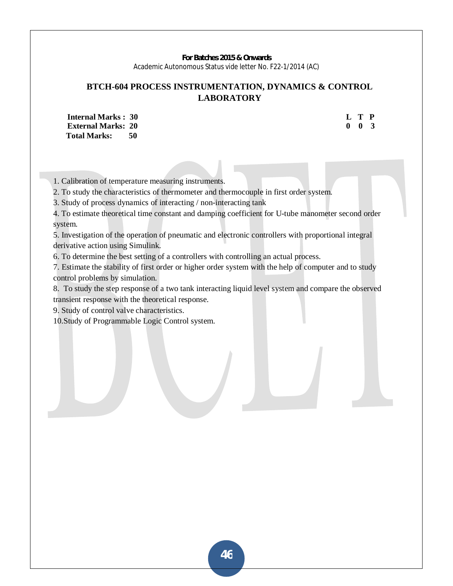## **BTCH-604 PROCESS INSTRUMENTATION, DYNAMICS & CONTROL LABORATORY**

**Internal Marks : 30 L T P L T P External Marks: 20 0 0 3 Total Marks: 50** 

1. Calibration of temperature measuring instruments.

2. To study the characteristics of thermometer and thermocouple in first order system.

3. Study of process dynamics of interacting / non-interacting tank

4. To estimate theoretical time constant and damping coefficient for U-tube manometer second order system.

5. Investigation of the operation of pneumatic and electronic controllers with proportional integral derivative action using Simulink.

6. To determine the best setting of a controllers with controlling an actual process.

7. Estimate the stability of first order or higher order system with the help of computer and to study control problems by simulation.

8. To study the step response of a two tank interacting liquid level system and compare the observed transient response with the theoretical response.

9. Study of control valve characteristics.

10.Study of Programmable Logic Control system.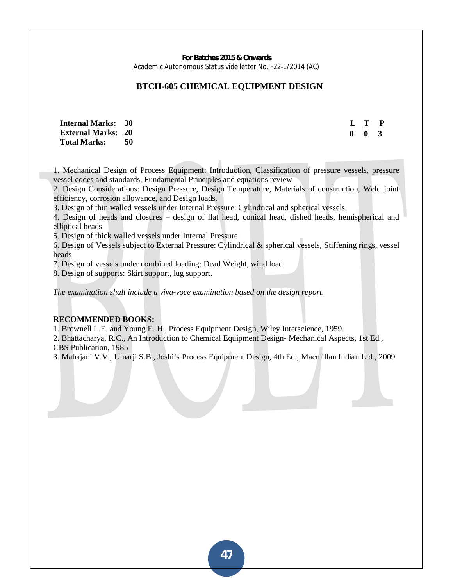## **BTCH-605 CHEMICAL EQUIPMENT DESIGN**

**Internal Marks: 30 External Marks: 20 Total Marks: 50** 

 **L T P 0 0 3** 

1. Mechanical Design of Process Equipment: Introduction, Classification of pressure vessels, pressure vessel codes and standards, Fundamental Principles and equations review

2. Design Considerations: Design Pressure, Design Temperature, Materials of construction, Weld joint efficiency, corrosion allowance, and Design loads.

3. Design of thin walled vessels under Internal Pressure: Cylindrical and spherical vessels

4. Design of heads and closures – design of flat head, conical head, dished heads, hemispherical and elliptical heads

5. Design of thick walled vessels under Internal Pressure

6. Design of Vessels subject to External Pressure: Cylindrical & spherical vessels, Stiffening rings, vessel heads

7. Design of vessels under combined loading: Dead Weight, wind load

8. Design of supports: Skirt support, lug support.

*The examination shall include a viva-voce examination based on the design report.* 

#### **RECOMMENDED BOOKS:**

1. Brownell L.E. and Young E. H., Process Equipment Design, Wiley Interscience, 1959.

2. Bhattacharya, R.C., An Introduction to Chemical Equipment Design- Mechanical Aspects, 1st Ed., CBS Publication, 1985

3. Mahajani V.V., Umarji S.B., Joshi's Process Equipment Design, 4th Ed., Macmillan Indian Ltd., 2009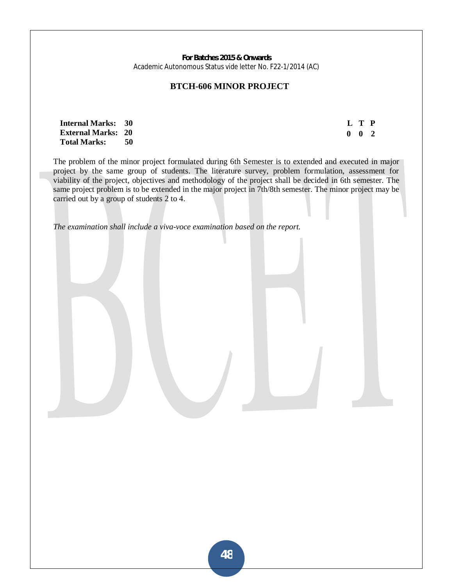#### **BTCH-606 MINOR PROJECT**

| <b>Internal Marks: 30</b> |     |
|---------------------------|-----|
| <b>External Marks: 20</b> |     |
| <b>Total Marks:</b>       | -50 |

 **L T P 0 0 2** 

The problem of the minor project formulated during 6th Semester is to extended and executed in major project by the same group of students. The literature survey, problem formulation, assessment for viability of the project, objectives and methodology of the project shall be decided in 6th semester. The same project problem is to be extended in the major project in 7th/8th semester. The minor project may be carried out by a group of students 2 to 4.

*The examination shall include a viva-voce examination based on the report.*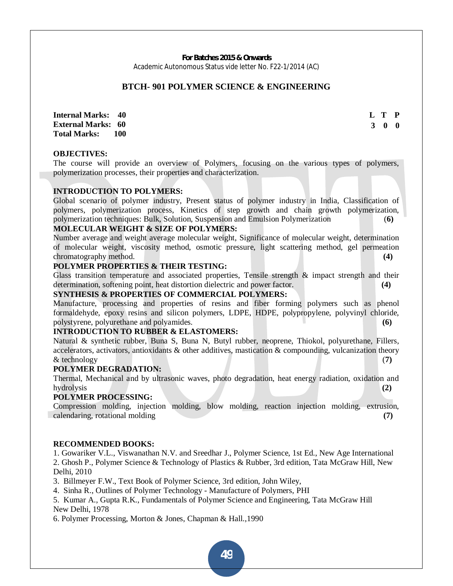#### **BTCH- 901 POLYMER SCIENCE & ENGINEERING**

**Internal Marks: 40 External Marks: 60 Total Marks: 100**  **L T P 3 0 0** 

#### **OBJECTIVES:**

The course will provide an overview of Polymers, focusing on the various types of polymers, polymerization processes, their properties and characterization.

#### **INTRODUCTION TO POLYMERS:**

Global scenario of polymer industry, Present status of polymer industry in India, Classification of polymers, polymerization process, Kinetics of step growth and chain growth polymerization, polymerization techniques: Bulk, Solution, Suspension and Emulsion Polymerization (**6)**

## **MOLECULAR WEIGHT & SIZE OF POLYMERS:**

Number average and weight average molecular weight, Significance of molecular weight, determination of molecular weight, viscosity method, osmotic pressure, light scattering method, gel permeation chromatography method. **(4)**

#### **POLYMER PROPERTIES & THEIR TESTING:**

Glass transition temperature and associated properties, Tensile strength  $\&$  impact strength and their determination, softening point, heat distortion dielectric and power factor. **(4)**

#### **SYNTHESIS & PROPERTIES OF COMMERCIAL POLYMERS:**

Manufacture, processing and properties of resins and fiber forming polymers such as phenol formaldehyde, epoxy resins and silicon polymers, LDPE, HDPE, polypropylene, polyvinyl chloride, polystyrene, polyurethane and polyamides. **(6)**

#### **INTRODUCTION TO RUBBER & ELASTOMERS:**

Natural & synthetic rubber, Buna S, Buna N, Butyl rubber, neoprene, Thiokol, polyurethane, Fillers, accelerators, activators, antioxidants & other additives, mastication & compounding, vulcanization theory & technology (**7)**

#### **POLYMER DEGRADATION:**

Thermal, Mechanical and by ultrasonic waves, photo degradation, heat energy radiation, oxidation and hydrolysis **(2)**

#### **POLYMER PROCESSING:**

Compression molding, injection molding, blow molding, reaction injection molding, extrusion, calendaring, rotational molding **(7)**

#### **RECOMMENDED BOOKS:**

1. Gowariker V.L., Viswanathan N.V. and Sreedhar J., Polymer Science, 1st Ed., New Age International 2. Ghosh P., Polymer Science & Technology of Plastics & Rubber, 3rd edition, Tata McGraw Hill, New Delhi, 2010

3. Billmeyer F.W., Text Book of Polymer Science, 3rd edition, John Wiley,

4. Sinha R., Outlines of Polymer Technology - Manufacture of Polymers, PHI

5. Kumar A., Gupta R.K., Fundamentals of Polymer Science and Engineering, Tata McGraw Hill New Delhi, 1978

6. Polymer Processing, Morton & Jones, Chapman & Hall.,1990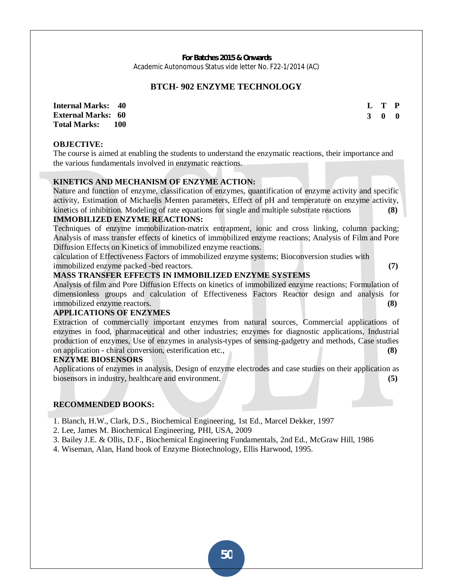## **BTCH- 902 ENZYME TECHNOLOGY**

**Internal Marks: 40 External Marks: 60 Total Marks: 100** 

**OBJECTIVE:** 

The course is aimed at enabling the students to understand the enzymatic reactions, their importance and the various fundamentals involved in enzymatic reactions.

## **KINETICS AND MECHANISM OF ENZYME ACTION:**

Nature and function of enzyme, classification of enzymes, quantification of enzyme activity and specific activity, Estimation of Michaelis Menten parameters, Effect of pH and temperature on enzyme activity, kinetics of inhibition. Modeling of rate equations for single and multiple substrate reactions **(8)**

#### **IMMOBILIZED ENZYME REACTIONS:**

Techniques of enzyme immobilization-matrix entrapment, ionic and cross linking, column packing; Analysis of mass transfer effects of kinetics of immobilized enzyme reactions; Analysis of Film and Pore Diffusion Effects on Kinetics of immobilized enzyme reactions.

calculation of Effectiveness Factors of immobilized enzyme systems; Bioconversion studies with immobilized enzyme packed -bed reactors. **(7)**

#### **MASS TRANSFER EFFECTS IN IMMOBILIZED ENZYME SYSTEMS**

Analysis of film and Pore Diffusion Effects on kinetics of immobilized enzyme reactions; Formulation of dimensionless groups and calculation of Effectiveness Factors Reactor design and analysis for immobilized enzyme reactors. **(8)**

## **APPLICATIONS OF ENZYMES**

Extraction of commercially important enzymes from natural sources, Commercial applications of enzymes in food, pharmaceutical and other industries; enzymes for diagnostic applications, Industrial production of enzymes, Use of enzymes in analysis-types of sensing-gadgetry and methods, Case studies on application - chiral conversion, esterification etc., **(8)**

#### **ENZYME BIOSENSORS**

Applications of enzymes in analysis, Design of enzyme electrodes and case studies on their application as biosensors in industry, healthcare and environment. **(5)** (5)

#### **RECOMMENDED BOOKS:**

- 1. Blanch, H.W., Clark, D.S., Biochemical Engineering, 1st Ed., Marcel Dekker, 1997
- 2. Lee, James M. Biochemical Engineering, PHI, USA, 2009
- 3. Bailey J.E. & Ollis, D.F., Biochemical Engineering Fundamentals, 2nd Ed., McGraw Hill, 1986
- 4. Wiseman, Alan, Hand book of Enzyme Biotechnology, Ellis Harwood, 1995.

**L T P 3 0 0**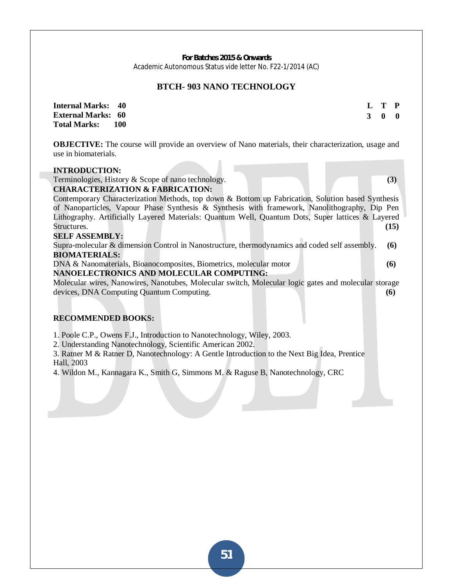## **BTCH- 903 NANO TECHNOLOGY**

| <b>Internal Marks: 40</b> |       |  | L T P |  |
|---------------------------|-------|--|-------|--|
| <b>External Marks: 60</b> |       |  | 3 0 0 |  |
| <b>Total Marks:</b>       | - 100 |  |       |  |

**OBJECTIVE:** The course will provide an overview of Nano materials, their characterization, usage and use in biomaterials.

#### **INTRODUCTION:**

Terminologies, History & Scope of nano technology. **(3)**

**CHARACTERIZATION & FABRICATION:** 

Contemporary Characterization Methods, top down & Bottom up Fabrication, Solution based Synthesis of Nanoparticles, Vapour Phase Synthesis & Synthesis with framework, Nanolithography, Dip Pen Lithography. Artificially Layered Materials: Quantum Well, Quantum Dots, Super lattices & Layered Structures. **(15)** (15)

## **SELF ASSEMBLY:**

Supra-molecular & dimension Control in Nanostructure, thermodynamics and coded self assembly. **(6) BIOMATERIALS:** 

DNA & Nanomaterials, Bioanocomposites, Biometrics, molecular motor **(6)**

#### **NANOELECTRONICS AND MOLECULAR COMPUTING:**

Molecular wires, Nanowires, Nanotubes, Molecular switch, Molecular logic gates and molecular storage devices, DNA Computing Quantum Computing. **(6)**

#### **RECOMMENDED BOOKS:**

1. Poole C.P., Owens F.J., Introduction to Nanotechnology, Wiley, 2003.

2. Understanding Nanotechnology, Scientific American 2002.

3. Ratner M & Ratner D, Nanotechnology: A Gentle Introduction to the Next Big Idea, Prentice Hall, 2003

4. Wildon M., Kannagara K., Smith G, Simmons M. & Raguse B, Nanotechnology, CRC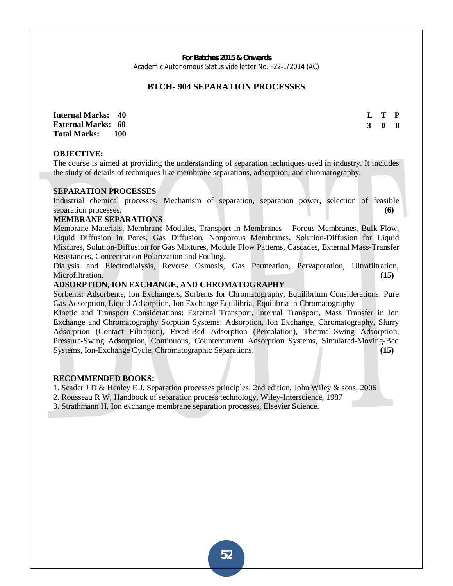#### **BTCH- 904 SEPARATION PROCESSES**

**Internal Marks: 40 External Marks: 60 Total Marks: 100**  **L T P 3 0 0** 

#### **OBJECTIVE:**

The course is aimed at providing the understanding of separation techniques used in industry. It includes the study of details of techniques like membrane separations, adsorption, and chromatography.

#### **SEPARATION PROCESSES**

Industrial chemical processes, Mechanism of separation, separation power, selection of feasible separation processes. **(6) (6) (6) (6) (6) (6) (6) (6) (6) (6) (6) (6) (6) (6) (6) (6) (6) (6) (6) (6) (6) (6) (6) (6) (6) (6) (6) (6) (6) (6) (6) (6) (6) (** 

#### **MEMBRANE SEPARATIONS**

Membrane Materials, Membrane Modules, Transport in Membranes – Porous Membranes, Bulk Flow, Liquid Diffusion in Pores, Gas Diffusion, Nonporous Membranes, Solution-Diffusion for Liquid Mixtures, Solution-Diffusion for Gas Mixtures, Module Flow Patterns, Cascades, External Mass-Transfer Resistances, Concentration Polarization and Fouling.

Dialysis and Electrodialysis, Reverse Osmosis, Gas Permeation, Pervaporation, Ultrafiltration, Microfiltration. **(15) (15) (15) (15) (15) (15) (15) (15) (15) (15) (15) (15) (15) (15) (15) (15) (15) (15) (15) (15) (15) (15) (15) (15) (15) (15) (15) (15) (15) (** 

#### **ADSORPTION, ION EXCHANGE, AND CHROMATOGRAPHY**

Sorbents: Adsorbents, Ion Exchangers, Sorbents for Chromatography, Equilibrium Considerations: Pure Gas Adsorption, Liquid Adsorption, Ion Exchange Equilibria, Equilibria in Chromatography

Kinetic and Transport Considerations: External Transport, Internal Transport, Mass Transfer in Ion Exchange and Chromatography Sorption Systems: Adsorption, Ion Exchange, Chromatography, Slurry Adsorption (Contact Filtration), Fixed-Bed Adsorption (Percolation), Thermal-Swing Adsorption, Pressure-Swing Adsorption, Continuous, Countercurrent Adsorption Systems, Simulated-Moving-Bed Systems, Ion-Exchange Cycle, Chromatographic Separations. **(15)**

#### **RECOMMENDED BOOKS:**

1. Seader J D & Henley E J, Separation processes principles, 2nd edition, John Wiley & sons, 2006

2. Rousseau R W, Handbook of separation process technology, Wiley-Interscience, 1987

3. Strathmann H, Ion exchange membrane separation processes, Elsevier Science.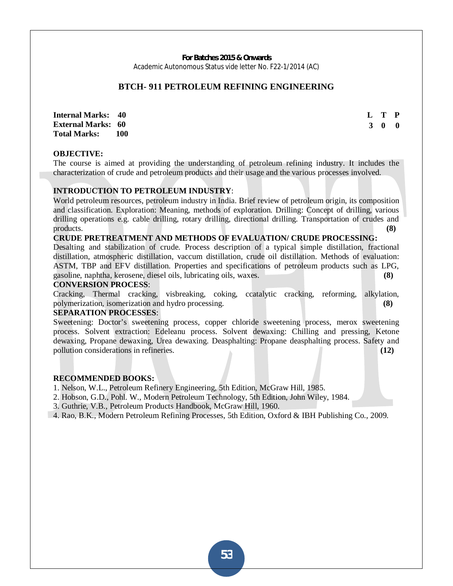## **BTCH- 911 PETROLEUM REFINING ENGINEERING**

**Internal Marks: 40 External Marks: 60 Total Marks: 100**  **L T P 3 0 0** 

#### **OBJECTIVE:**

The course is aimed at providing the understanding of petroleum refining industry. It includes the characterization of crude and petroleum products and their usage and the various processes involved.

## **INTRODUCTION TO PETROLEUM INDUSTRY**:

World petroleum resources, petroleum industry in India. Brief review of petroleum origin, its composition and classification. Exploration: Meaning, methods of exploration. Drilling: Concept of drilling, various drilling operations e.g. cable drilling, rotary drilling, directional drilling. Transportation of crudes and products. **(8)**

#### **CRUDE PRETREATMENT AND METHODS OF EVALUATION/ CRUDE PROCESSING:**

Desalting and stabilization of crude. Process description of a typical simple distillation, fractional distillation, atmospheric distillation, vaccum distillation, crude oil distillation. Methods of evaluation: ASTM, TBP and EFV distillation. Properties and specifications of petroleum products such as LPG, gasoline, naphtha, kerosene, diesel oils, lubricating oils, waxes. **(8)**

#### **CONVERSION PROCESS**:

Cracking, Thermal cracking, visbreaking, coking, ccatalytic cracking, reforming, alkylation, polymerization, isomerization and hydro processing. **(8)**

#### **SEPARATION PROCESSES**:

Sweetening: Doctor's sweetening process, copper chloride sweetening process, merox sweetening process. Solvent extraction: Edeleanu process. Solvent dewaxing: Chilling and pressing, Ketone dewaxing, Propane dewaxing, Urea dewaxing. Deasphalting: Propane deasphalting process. Safety and pollution considerations in refineries. **(12)**

#### **RECOMMENDED BOOKS:**

1. Nelson, W.L., Petroleum Refinery Engineering, 5th Edition, McGraw Hill, 1985.

2. Hobson, G.D., Pohl. W., Modern Petroleum Technology, 5th Edition, John Wiley, 1984.

3. Guthrie, V.B., Petroleum Products Handbook, McGraw Hill, 1960.

4. Rao, B.K., Modern Petroleum Refining Processes, 5th Edition, Oxford & IBH Publishing Co., 2009.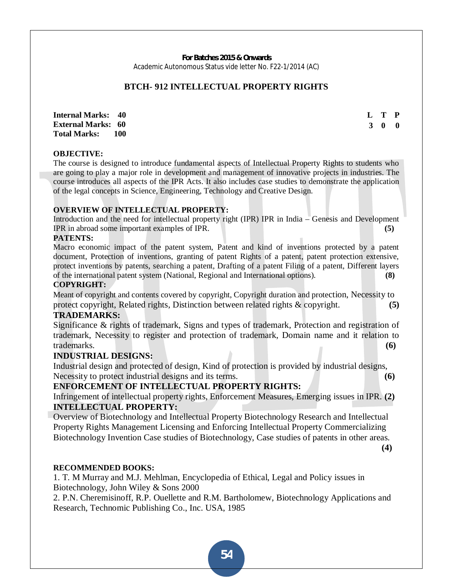## **BTCH- 912 INTELLECTUAL PROPERTY RIGHTS**

**Internal Marks: 40 External Marks: 60 Total Marks: 100**  **L T P 3 0 0** 

#### **OBJECTIVE:**

The course is designed to introduce fundamental aspects of Intellectual Property Rights to students who are going to play a major role in development and management of innovative projects in industries. The course introduces all aspects of the IPR Acts. It also includes case studies to demonstrate the application of the legal concepts in Science, Engineering, Technology and Creative Design.

#### **OVERVIEW OF INTELLECTUAL PROPERTY:**

Introduction and the need for intellectual property right (IPR) IPR in India – Genesis and Development IPR in abroad some important examples of IPR. **(5)**

#### **PATENTS:**

Macro economic impact of the patent system, Patent and kind of inventions protected by a patent document, Protection of inventions, granting of patent Rights of a patent, patent protection extensive, protect inventions by patents, searching a patent, Drafting of a patent Filing of a patent, Different layers of the international patent system (National, Regional and International options). **(8)**

#### **COPYRIGHT:**

Meant of copyright and contents covered by copyright, Copyright duration and protection, Necessity to protect copyright, Related rights, Distinction between related rights & copyright. **(5)**

### **TRADEMARKS:**

Significance & rights of trademark, Signs and types of trademark, Protection and registration of trademark, Necessity to register and protection of trademark, Domain name and it relation to trademarks. **(6)**

#### **INDUSTRIAL DESIGNS:**

Industrial design and protected of design, Kind of protection is provided by industrial designs, Necessity to protect industrial designs and its terms. **(6) (6)** 

## **ENFORCEMENT OF INTELLECTUAL PROPERTY RIGHTS:**

Infringement of intellectual property rights, Enforcement Measures, Emerging issues in IPR. **(2) INTELLECTUAL PROPERTY:** 

Overview of Biotechnology and Intellectual Property Biotechnology Research and Intellectual Property Rights Management Licensing and Enforcing Intellectual Property Commercializing Biotechnology Invention Case studies of Biotechnology, Case studies of patents in other areas.  **(4)** 

#### **RECOMMENDED BOOKS:**

1. T. M Murray and M.J. Mehlman, Encyclopedia of Ethical, Legal and Policy issues in Biotechnology, John Wiley & Sons 2000

2. P.N. Cheremisinoff, R.P. Ouellette and R.M. Bartholomew, Biotechnology Applications and Research, Technomic Publishing Co., Inc. USA, 1985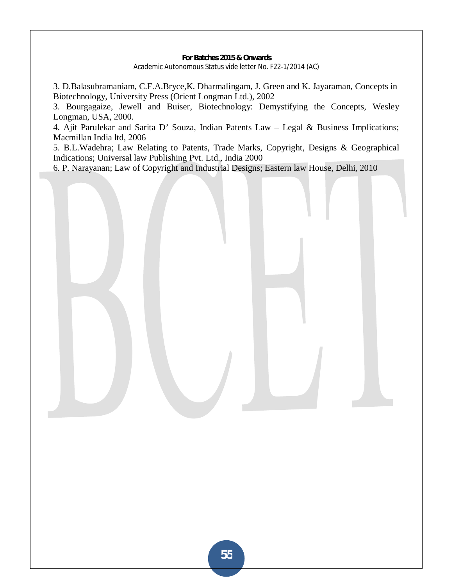3. D.Balasubramaniam, C.F.A.Bryce,K. Dharmalingam, J. Green and K. Jayaraman, Concepts in Biotechnology, University Press (Orient Longman Ltd.), 2002

3. Bourgagaize, Jewell and Buiser, Biotechnology: Demystifying the Concepts, Wesley Longman, USA, 2000.

4. Ajit Parulekar and Sarita D' Souza, Indian Patents Law – Legal & Business Implications; Macmillan India ltd, 2006

5. B.L.Wadehra; Law Relating to Patents, Trade Marks, Copyright, Designs & Geographical Indications; Universal law Publishing Pvt. Ltd., India 2000

6. P. Narayanan; Law of Copyright and Industrial Designs; Eastern law House, Delhi, 2010

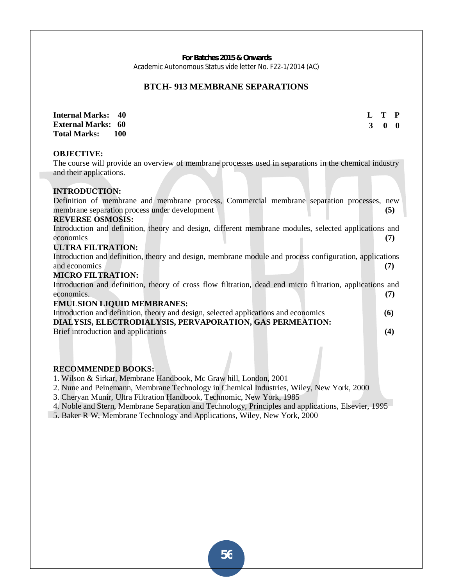## **BTCH- 913 MEMBRANE SEPARATIONS**

| <b>Internal Marks:</b><br>40                                                                              |   | T            | P            |
|-----------------------------------------------------------------------------------------------------------|---|--------------|--------------|
| <b>External Marks: 60</b>                                                                                 | 3 | $\mathbf{0}$ | $\mathbf{0}$ |
| <b>Total Marks:</b><br><b>100</b>                                                                         |   |              |              |
|                                                                                                           |   |              |              |
| <b>OBJECTIVE:</b>                                                                                         |   |              |              |
| The course will provide an overview of membrane processes used in separations in the chemical industry    |   |              |              |
| and their applications.                                                                                   |   |              |              |
|                                                                                                           |   |              |              |
| <b>INTRODUCTION:</b>                                                                                      |   |              |              |
| Definition of membrane and membrane process, Commercial membrane separation processes, new                |   |              |              |
| membrane separation process under development                                                             |   |              | (5)          |
| <b>REVERSE OSMOSIS:</b>                                                                                   |   |              |              |
| Introduction and definition, theory and design, different membrane modules, selected applications and     |   |              |              |
| economics                                                                                                 |   | (7)          |              |
| <b>ULTRA FILTRATION:</b>                                                                                  |   |              |              |
| Introduction and definition, theory and design, membrane module and process configuration, applications   |   |              |              |
| and economics                                                                                             |   | (7)          |              |
| <b>MICRO FILTRATION:</b>                                                                                  |   |              |              |
| Introduction and definition, theory of cross flow filtration, dead end micro filtration, applications and |   |              |              |
| economics.                                                                                                |   |              | (7)          |
| <b>EMULSION LIQUID MEMBRANES:</b>                                                                         |   |              |              |
| Introduction and definition, theory and design, selected applications and economics                       |   | (6)          |              |
| DIALYSIS, ELECTRODIALYSIS, PERVAPORATION, GAS PERMEATION:                                                 |   |              |              |
| Brief introduction and applications                                                                       |   | (4)          |              |
|                                                                                                           |   |              |              |
|                                                                                                           |   |              |              |

#### **RECOMMENDED BOOKS:**

- 1. Wilson & Sirkar, Membrane Handbook, Mc Graw hill, London, 2001
- 2. Nune and Peinemann, Membrane Technology in Chemical Industries, Wiley, New York, 2000
- 3. Cheryan Munir, Ultra Filtration Handbook, Technomic, New York, 1985
- 4. Noble and Stern, Membrane Separation and Technology, Principles and applications, Elsevier, 1995
- 5. Baker R W, Membrane Technology and Applications, Wiley, New York, 2000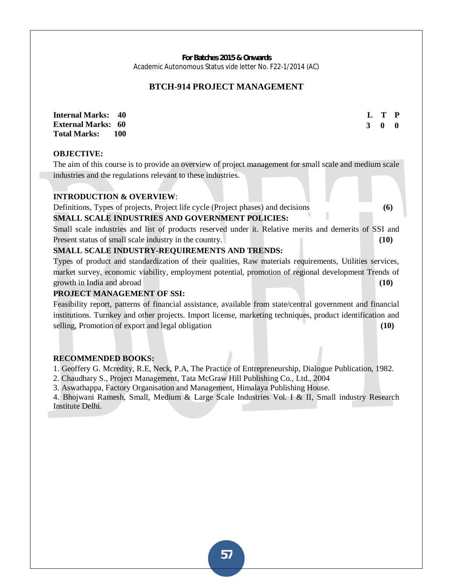## **BTCH-914 PROJECT MANAGEMENT**

**L T P 3 0 0** 

**Internal Marks: 40 External Marks: 60 Total Marks: 100** 

**OBJECTIVE:** 

The aim of this course is to provide an overview of project management for small scale and medium scale industries and the regulations relevant to these industries.

#### **INTRODUCTION & OVERVIEW**:

Definitions, Types of projects, Project life cycle (Project phases) and decisions **(6)**

#### **SMALL SCALE INDUSTRIES AND GOVERNMENT POLICIES:**

Small scale industries and list of products reserved under it. Relative merits and demerits of SSI and Present status of small scale industry in the country. **(10)** (10)

#### **SMALL SCALE INDUSTRY-REQUIREMENTS AND TRENDS:**

Types of product and standardization of their qualities, Raw materials requirements, Utilities services, market survey, economic viability, employment potential, promotion of regional development Trends of growth in India and abroad **(10)**

#### **PROJECT MANAGEMENT OF SSI:**

Feasibility report, patterns of financial assistance, available from state/central government and financial institutions. Turnkey and other projects. Import license, marketing techniques, product identification and selling, Promotion of export and legal obligation **(10)** (10)

#### **RECOMMENDED BOOKS:**

1. Geoffery G. Mcredity, R.E, Neck, P.A, The Practice of Entrepreneurship, Dialogue Publication, 1982.

2. Chaudhary S., Project Management, Tata McGraw Hill Publishing Co., Ltd., 2004

3. Aswathappa, Factory Organisation and Management, Himalaya Publishing House.

4. Bhojwani Ramesh, Small, Medium & Large Scale Industries Vol. I & II, Small industry Research Institute Delhi.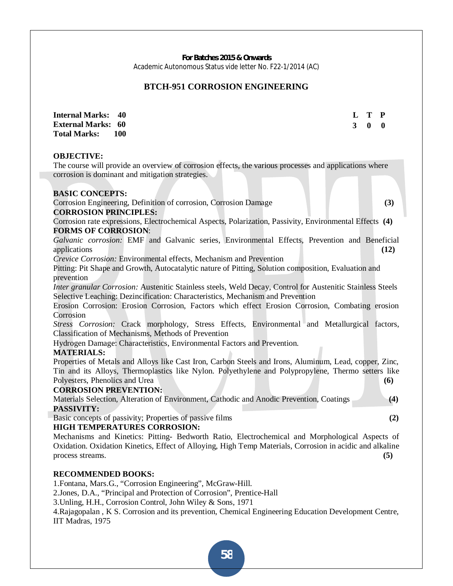## **BTCH-951 CORROSION ENGINEERING**

**Internal Marks: 40 External Marks: 60 Total Marks: 100**  **L T P 3 0 0**

#### **OBJECTIVE:**

The course will provide an overview of corrosion effects, the various processes and applications where corrosion is dominant and mitigation strategies.

#### **BASIC CONCEPTS:**

Corrosion Engineering, Definition of corrosion, Corrosion Damage **(3)**

#### **CORROSION PRINCIPLES:**

Corrosion rate expressions, Electrochemical Aspects, Polarization, Passivity, Environmental Effects **(4) FORMS OF CORROSION**:

*Galvanic corrosion:* EMF and Galvanic series, Environmental Effects, Prevention and Beneficial applications **(12)**

*Crevice Corrosion:* Environmental effects, Mechanism and Prevention

Pitting: Pit Shape and Growth, Autocatalytic nature of Pitting, Solution composition, Evaluation and prevention

*Inter granular Corrosion:* Austenitic Stainless steels, Weld Decay, Control for Austenitic Stainless Steels Selective Leaching: Dezincification: Characteristics, Mechanism and Prevention

Erosion Corrosion: Erosion Corrosion, Factors which effect Erosion Corrosion, Combating erosion Corrosion

*Stress Corrosion:* Crack morphology, Stress Effects, Environmental and Metallurgical factors, Classification of Mechanisms, Methods of Prevention

Hydrogen Damage: Characteristics, Environmental Factors and Prevention.

#### **MATERIALS:**

Properties of Metals and Alloys like Cast Iron, Carbon Steels and Irons, Aluminum, Lead, copper, Zinc, Tin and its Alloys, Thermoplastics like Nylon. Polyethylene and Polypropylene, Thermo setters like Polyesters, Phenolics and Urea **(6)**

#### **CORROSION PREVENTION:**

Materials Selection, Alteration of Environment, Cathodic and Anodic Prevention, Coatings **(4) PASSIVITY:**

Basic concepts of passivity; Properties of passive films **(2)**

## **HIGH TEMPERATURES CORROSION:**

Mechanisms and Kinetics: Pitting- Bedworth Ratio, Electrochemical and Morphological Aspects of Oxidation. Oxidation Kinetics, Effect of Alloying, High Temp Materials, Corrosion in acidic and alkaline process streams. **(5)**

#### **RECOMMENDED BOOKS:**

1.Fontana, Mars.G., "Corrosion Engineering", McGraw-Hill.

2.Jones, D.A., "Principal and Protection of Corrosion", Prentice-Hall

3.Unling, H.H., Corrosion Control, John Wiley & Sons, 1971

4.Rajagopalan , K S. Corrosion and its prevention, Chemical Engineering Education Development Centre, IIT Madras, 1975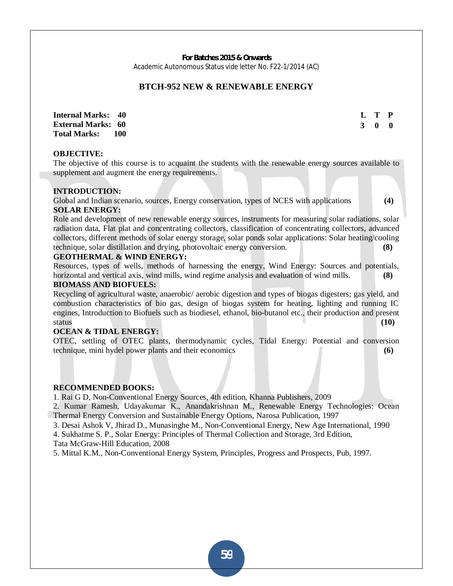#### **BTCH-952 NEW & RENEWABLE ENERGY**

**Internal Marks: 40 External Marks: 60 Total Marks: 100**  **L T P 3 0 0**

#### **OBJECTIVE:**

The objective of this course is to acquaint the students with the renewable energy sources available to supplement and augment the energy requirements.

#### **INTRODUCTION:**

Global and Indian scenario, sources, Energy conservation, types of NCES with applications **(4) SOLAR ENERGY:**

Role and development of new renewable energy sources, instruments for measuring solar radiations, solar radiation data, Flat plat and concentrating collectors, classification of concentrating collectors, advanced collectors, different methods of solar energy storage, solar ponds solar applications: Solar heating/cooling technique, solar distillation and drying, photovoltaic energy conversion. **(8)**

#### **GEOTHERMAL & WIND ENERGY:**

Resources, types of wells, methods of harnessing the energy, Wind Energy: Sources and potentials, horizontal and vertical axis, wind mills, wind regime analysis and evaluation of wind mills. **(8)**

#### **BIOMASS AND BIOFUELS:**

Recycling of agricultural waste, anaerobic/ aerobic digestion and types of biogas digesters; gas yield, and combustion characteristics of bio gas, design of biogas system for heating, lighting and running IC engines, Introduction to Biofuels such as biodiesel, ethanol, bio-butanol etc., their production and present status **(10)**

#### **OCEAN & TIDAL ENERGY:**

OTEC, settling of OTEC plants, thermodynamic cycles, Tidal Energy: Potential and conversion technique, mini hydel power plants and their economics **(6)**

#### **RECOMMENDED BOOKS:**

1. Rai G D, Non-Conventional Energy Sources, 4th edition, Khanna Publishers, 2009

2. Kumar Ramesh, Udayakumar K., Anandakrishnan M., Renewable Energy Technologies: Ocean Thermal Energy Conversion and Sustainable Energy Options, Narosa Publication, 1997

3. Desai Ashok V, Jhirad D., Munasinghe M., Non-Conventional Energy, New Age International, 1990

4. Sukhatme S. P., Solar Energy: Principles of Thermal Collection and Storage, 3rd Edition,

Tata McGraw-Hill Education, 2008

5. Mittal K.M., Non-Conventional Energy System, Principles, Progress and Prospects, Pub, 1997.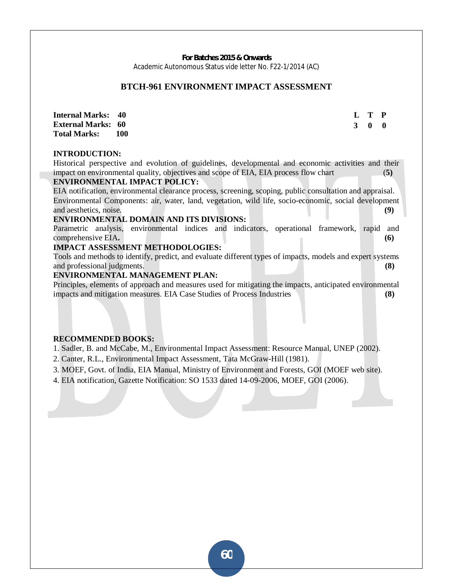#### **BTCH-961 ENVIRONMENT IMPACT ASSESSMENT**

**Internal Marks: 40 External Marks: 60 Total Marks: 100**  **L T P 3 0 0**

#### **INTRODUCTION:**

Historical perspective and evolution of guidelines, developmental and economic activities and their impact on environmental quality, objectives and scope of EIA, EIA process flow chart (**5) ENVIRONMENTAL IMPACT POLICY:** 

EIA notification, environmental clearance process, screening, scoping, public consultation and appraisal. Environmental Components: air, water, land, vegetation, wild life, socio-economic, social development and aesthetics, noise. **(9)**

#### **ENVIRONMENTAL DOMAIN AND ITS DIVISIONS:**

Parametric analysis, environmental indices and indicators, operational framework, rapid and comprehensive EIA. (6)

#### **IMPACT ASSESSMENT METHODOLOGIES:**

Tools and methods to identify, predict, and evaluate different types of impacts, models and expert systems and professional judgments. **(8)**

#### **ENVIRONMENTAL MANAGEMENT PLAN:**

Principles, elements of approach and measures used for mitigating the impacts, anticipated environmental impacts and mitigation measures. EIA Case Studies of Process Industries **(8)**

#### **RECOMMENDED BOOKS:**

1. Sadler, B. and McCabe, M., Environmental Impact Assessment: Resource Manual, UNEP (2002).

2. Canter, R.L., Environmental Impact Assessment, Tata McGraw-Hill (1981).

3. MOEF, Govt. of India, EIA Manual, Ministry of Environment and Forests, GOI (MOEF web site).

4. EIA notification, Gazette Notification: SO 1533 dated 14-09-2006, MOEF, GOI (2006).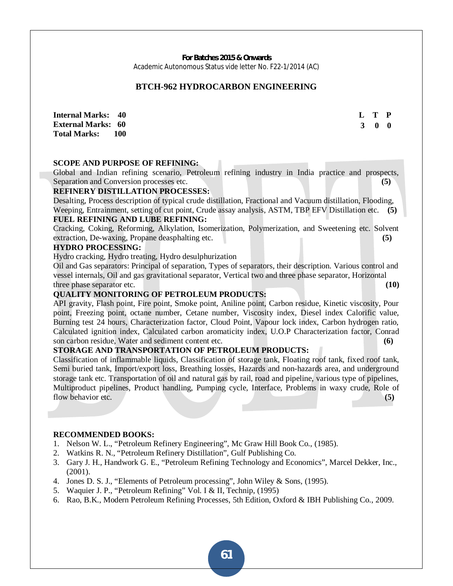#### **BTCH-962 HYDROCARBON ENGINEERING**

**Internal Marks: 40 External Marks: 60 Total Marks: 100**  **L T P 3 0 0**

#### **SCOPE AND PURPOSE OF REFINING:**

Global and Indian refining scenario, Petroleum refining industry in India practice and prospects, Separation and Conversion processes etc. **(5)** (5)

#### **REFINERY DISTILLATION PROCESSES:**

Desalting, Process description of typical crude distillation, Fractional and Vacuum distillation, Flooding, Weeping, Entrainment, setting of cut point, Crude assay analysis, ASTM, TBP EFV Distillation etc. **(5)** 

## **FUEL REFINING AND LUBE REFINING:**

Cracking, Coking, Reforming, Alkylation, Isomerization, Polymerization, and Sweetening etc. Solvent extraction, De-waxing, Propane deasphalting etc. **(5)**

#### **HYDRO PROCESSING:**

Hydro cracking, Hydro treating, Hydro desulphurization

Oil and Gas separators: Principal of separation, Types of separators, their description. Various control and vessel internals, Oil and gas gravitational separator, Vertical two and three phase separator, Horizontal three phase separator etc. **(10) (10) (10) (10) (10) (10) (10) (10) (10) (10) (10) (10) (10) (10) (10) (10) (10) (10) (10) (10) (10) (10) (10) (10) (10) (10) (10) (10)** 

#### **QUALITY MONITORING OF PETROLEUM PRODUCTS:**

API gravity, Flash point, Fire point, Smoke point, Aniline point, Carbon residue, Kinetic viscosity, Pour point, Freezing point, octane number, Cetane number, Viscosity index, Diesel index Calorific value, Burning test 24 hours, Characterization factor, Cloud Point, Vapour lock index, Carbon hydrogen ratio, Calculated ignition index, Calculated carbon aromaticity index, U.O.P Characterization factor, Conrad son carbon residue, Water and sediment content etc. **(6)**

#### **STORAGE AND TRANSPORTATION OF PETROLEUM PRODUCTS:**

Classification of inflammable liquids, Classification of storage tank, Floating roof tank, fixed roof tank, Semi buried tank, Import/export loss, Breathing losses, Hazards and non-hazards area, and underground storage tank etc. Transportation of oil and natural gas by rail, road and pipeline, various type of pipelines, Multiproduct pipelines, Product handling, Pumping cycle, Interface, Problems in waxy crude, Role of flow behavior etc. **(5) (5)** 

#### **RECOMMENDED BOOKS:**

- 1. Nelson W. L., "Petroleum Refinery Engineering", Mc Graw Hill Book Co., (1985).
- 2. Watkins R. N., "Petroleum Refinery Distillation", Gulf Publishing Co.
- 3. Gary J. H., Handwork G. E., "Petroleum Refining Technology and Economics", Marcel Dekker, Inc., (2001).
- 4. Jones D. S. J., "Elements of Petroleum processing", John Wiley & Sons, (1995).
- 5. Waquier J. P., "Petroleum Refining" Vol. I & II, Technip, (1995)
- 6. Rao, B.K., Modern Petroleum Refining Processes, 5th Edition, Oxford & IBH Publishing Co., 2009.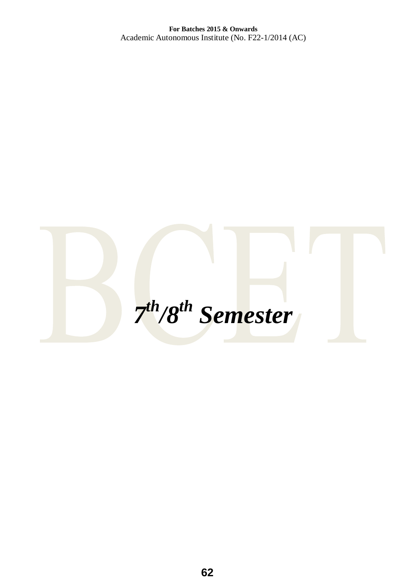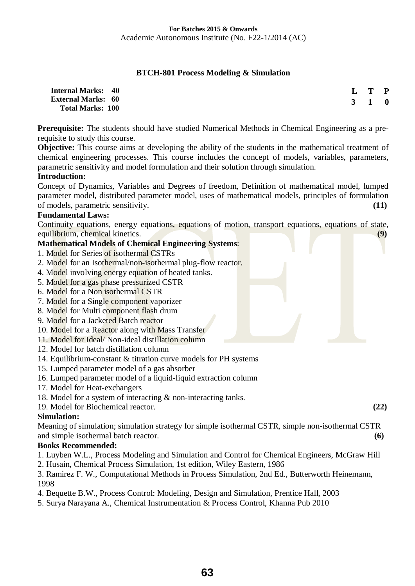## **BTCH-801 Process Modeling & Simulation**

| <b>Internal Marks: 40</b> |                     | L T P |  |
|---------------------------|---------------------|-------|--|
| <b>External Marks: 60</b> | $3 \quad 1 \quad 0$ |       |  |
| <b>Total Marks: 100</b>   |                     |       |  |

**Prerequisite:** The students should have studied Numerical Methods in Chemical Engineering as a prerequisite to study this course.

**Objective:** This course aims at developing the ability of the students in the mathematical treatment of chemical engineering processes. This course includes the concept of models, variables, parameters, parametric sensitivity and model formulation and their solution through simulation.

## **Introduction:**

Concept of Dynamics, Variables and Degrees of freedom, Definition of mathematical model, lumped parameter model, distributed parameter model, uses of mathematical models, principles of formulation of models, parametric sensitivity. **(11)** 

## **Fundamental Laws:**

Continuity equations, energy equations, equations of motion, transport equations, equations of state, equilibrium, chemical kinetics. **(9)** 

| <b>Mathematical Models of Chemical Engineering Systems:</b>      |  |
|------------------------------------------------------------------|--|
| 1. Model for Series of isothermal CSTRs                          |  |
| 2. Model for an Isothermal/non-isothermal plug-flow reactor.     |  |
| 4. Model involving energy equation of heated tanks.              |  |
| 5. Model for a gas phase pressurized CSTR                        |  |
| 6. Model for a Non isothermal CSTR                               |  |
| 7. Model for a Single component vaporizer                        |  |
| 8. Model for Multi component flash drum                          |  |
| 9. Model for a Jacketed Batch reactor                            |  |
| 10. Model for a Reactor along with Mass Transfer                 |  |
| 11. Model for Ideal/Non-ideal distillation column                |  |
| 12. Model for batch distillation column                          |  |
| 14. Equilibrium-constant & titration curve models for PH systems |  |
| 15. Lumped parameter model of a gas absorber                     |  |
| 16. Lumped parameter model of a liquid-liquid extraction column  |  |

- 17. Model for Heat-exchangers
- 18. Model for a system of interacting & non-interacting tanks.
- 19. Model for Biochemical reactor. **(22)**

## **Simulation:**

Meaning of simulation; simulation strategy for simple isothermal CSTR, simple non-isothermal CSTR and simple isothermal batch reactor. **(6) (6)** 

## **Books Recommended:**

- 1. Luyben W.L., Process Modeling and Simulation and Control for Chemical Engineers, McGraw Hill
- 2. Husain, Chemical Process Simulation, 1st edition, Wiley Eastern, 1986

3. Ramirez F. W., Computational Methods in Process Simulation, 2nd Ed., Butterworth Heinemann, 1998

- 4. Bequette B.W., Process Control: Modeling, Design and Simulation, Prentice Hall, 2003
- 5. Surya Narayana A., Chemical Instrumentation & Process Control, Khanna Pub 2010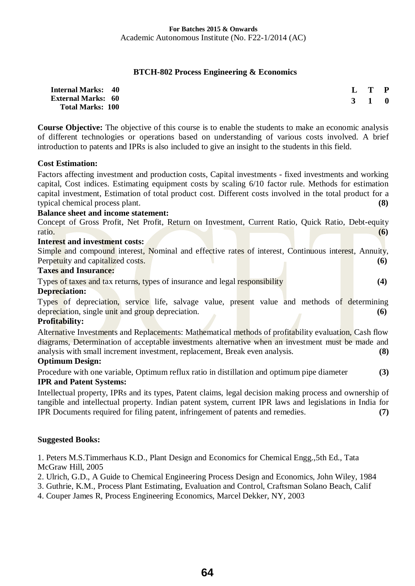## **BTCH-802 Process Engineering & Economics**

| <b>Internal Marks: 40</b> |                     | L T P |  |
|---------------------------|---------------------|-------|--|
| <b>External Marks: 60</b> | $3 \quad 1 \quad 0$ |       |  |
| <b>Total Marks: 100</b>   |                     |       |  |

**Course Objective:** The objective of this course is to enable the students to make an economic analysis of different technologies or operations based on understanding of various costs involved. A brief introduction to patents and IPRs is also included to give an insight to the students in this field.

## **Cost Estimation:**

Factors affecting investment and production costs, Capital investments - fixed investments and working capital, Cost indices. Estimating equipment costs by scaling 6/10 factor rule. Methods for estimation capital investment, Estimation of total product cost. Different costs involved in the total product for a typical chemical process plant. **(8)** 

## **Balance sheet and income statement:**

Concept of Gross Profit, Net Profit, Return on Investment, Current Ratio, Quick Ratio, Debt-equity ratio. **(6)** 

## **Interest and investment costs:**

Simple and compound interest, Nominal and effective rates of interest, Continuous interest, Annuity, Perpetuity and capitalized costs. **(6)** 

## **Taxes and Insurance:**

Types of taxes and tax returns, types of insurance and legal responsibility **(4)** 

## **Depreciation:**

Types of depreciation, service life, salvage value, present value and methods of determining depreciation, single unit and group depreciation. **(6)** 

## **Profitability:**

Alternative Investments and Replacements: Mathematical methods of profitability evaluation, Cash flow diagrams, Determination of acceptable investments alternative when an investment must be made and analysis with small increment investment, replacement, Break even analysis. **(8)** 

## **Optimum Design:**

Procedure with one variable, Optimum reflux ratio in distillation and optimum pipe diameter **(3) IPR and Patent Systems:** 

Intellectual property, IPRs and its types, Patent claims, legal decision making process and ownership of tangible and intellectual property. Indian patent system, current IPR laws and legislations in India for IPR Documents required for filing patent, infringement of patents and remedies. **(7)**

## **Suggested Books:**

1. Peters M.S.Timmerhaus K.D., Plant Design and Economics for Chemical Engg.,5th Ed., Tata McGraw Hill, 2005

2. Ulrich, G.D., A Guide to Chemical Engineering Process Design and Economics, John Wiley, 1984

3. Guthrie, K.M., Process Plant Estimating, Evaluation and Control, Craftsman Solano Beach, Calif

4. Couper James R, Process Engineering Economics, Marcel Dekker, NY, 2003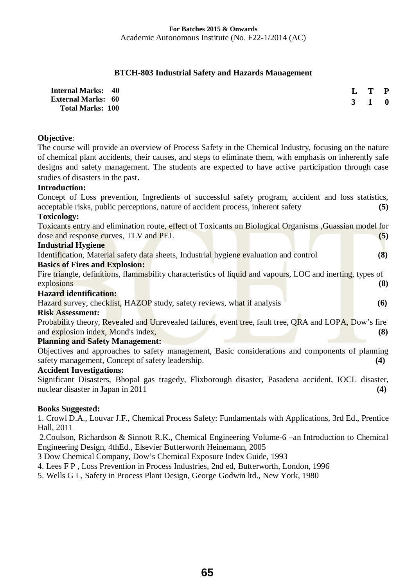## **BTCH-803 Industrial Safety and Hazards Management**

| <b>Internal Marks: 40</b> | L T P               |  |
|---------------------------|---------------------|--|
| <b>External Marks: 60</b> | $3 \quad 1 \quad 0$ |  |
| <b>Total Marks: 100</b>   |                     |  |

## **Objective**:

The course will provide an overview of Process Safety in the Chemical Industry, focusing on the nature of chemical plant accidents, their causes, and steps to eliminate them, with emphasis on inherently safe designs and safety management. The students are expected to have active participation through case studies of disasters in the past.

## **Introduction:**

Concept of Loss prevention, Ingredients of successful safety program, accident and loss statistics, acceptable risks, public perceptions, nature of accident process, inherent safety **(5) Toxicology:**

| Toxicants entry and elimination route, effect of Toxicants on Biological Organisms, Guassian model for |  |     |
|--------------------------------------------------------------------------------------------------------|--|-----|
| dose and response curves, TLV and PEL                                                                  |  | (5) |

#### **Industrial Hygiene**

|  |  |                                       |  |  | Identification, Material safety data sheets, Industrial hygiene evaluation and control |  |  | (8) |
|--|--|---------------------------------------|--|--|----------------------------------------------------------------------------------------|--|--|-----|
|  |  | <b>Basics of Fires and Explosion:</b> |  |  |                                                                                        |  |  |     |
|  |  |                                       |  |  |                                                                                        |  |  |     |

Fire triangle, definitions, flammability characteristics of liquid and vapours, LOC and inerting, types of explosions **(8)** 

## **Hazard identification:**

Hazard survey, checklist, HAZOP study, safety reviews, what if analysis **(6)** 

#### **Risk Assessment:**

Probability theory, Revealed and Unrevealed failures, event tree, fault tree, ORA and LOPA, Dow's fire and explosion index, Mond's index, **(8)** 

## **Planning and Safety Management:**

Objectives and approaches to safety management, Basic considerations and components of planning safety management, Concept of safety leadership. **(4) (4)** 

#### **Accident Investigations:**

Significant Disasters, Bhopal gas tragedy, Flixborough disaster, Pasadena accident, IOCL disaster, nuclear disaster in Japan in 2011 **(4)**  $(4)$ 

## **Books Suggested:**

1. Crowl D.A., Louvar J.F., Chemical Process Safety: Fundamentals with Applications, 3rd Ed., Prentice Hall, 2011

 2.Coulson, Richardson & Sinnott R.K., Chemical Engineering Volume-6 –an Introduction to Chemical Engineering Design, 4thEd., Elsevier Butterworth Heinemann, 2005

3 Dow Chemical Company, Dow's Chemical Exposure Index Guide, 1993

4. Lees F P , Loss Prevention in Process Industries, 2nd ed, Butterworth, London, 1996

5. Wells G L, Safety in Process Plant Design, George Godwin ltd., New York, 1980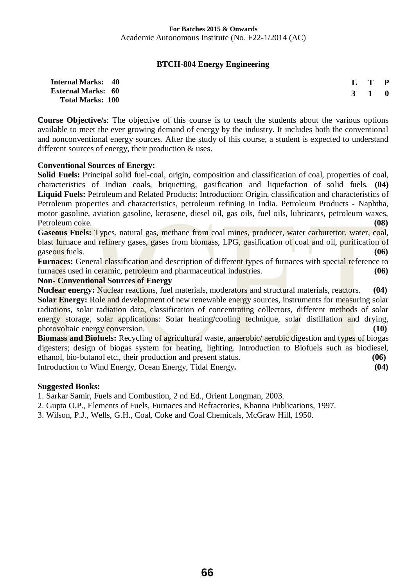## **BTCH-804 Energy Engineering**

| <b>Internal Marks: 40</b> | $L$ T P             |  |
|---------------------------|---------------------|--|
| <b>External Marks: 60</b> | $3 \quad 1 \quad 0$ |  |
| <b>Total Marks: 100</b>   |                     |  |

**Course Objective/s**: The objective of this course is to teach the students about the various options available to meet the ever growing demand of energy by the industry. It includes both the conventional and nonconventional energy sources. After the study of this course, a student is expected to understand different sources of energy, their production & uses.

## **Conventional Sources of Energy:**

**Solid Fuels:** Principal solid fuel-coal, origin, composition and classification of coal, properties of coal, characteristics of Indian coals, briquetting, gasification and liquefaction of solid fuels. **(04) Liquid Fuels:** Petroleum and Related Products: Introduction: Origin, classification and characteristics of Petroleum properties and characteristics, petroleum refining in India. Petroleum Products - Naphtha, motor gasoline, aviation gasoline, kerosene, diesel oil, gas oils, fuel oils, lubricants, petroleum waxes, Petroleum coke. **(08)**

**Gaseous Fuels:** Types, natural gas, methane from coal mines, producer, water carburettor, water, coal, blast furnace and refinery gases, gases from biomass, LPG, gasification of coal and oil, purification of gaseous fuels. **(06)** 

**Furnaces:** General classification and description of different types of furnaces with special reference to furnaces used in ceramic, petroleum and pharmaceutical industries. **(06)** 

### **Non- Conventional Sources of Energy**

**Nuclear energy:** Nuclear reactions, fuel materials, moderators and structural materials, reactors. **(04) Solar Energy:** Role and development of new renewable energy sources, instruments for measuring solar radiations, solar radiation data, classification of concentrating collectors, different methods of solar energy storage, solar applications: Solar heating/cooling technique, solar distillation and drying, photovoltaic energy conversion. **(10) (10)** 

**Biomass and Biofuels:** Recycling of agricultural waste, anaerobic/ aerobic digestion and types of biogas digesters; design of biogas system for heating, lighting. Introduction to Biofuels such as biodiesel, ethanol, bio-butanol etc., their production and present status. **(06)** Introduction to Wind Energy, Ocean Energy, Tidal Energy**. (04)** 

**Suggested Books:**

1. Sarkar Samir, Fuels and Combustion, 2 nd Ed., Orient Longman, 2003.

2. Gupta O.P., Elements of Fuels, Furnaces and Refractories, Khanna Publications, 1997.

3. Wilson, P.J., Wells, G.H., Coal, Coke and Coal Chemicals, McGraw Hill, 1950.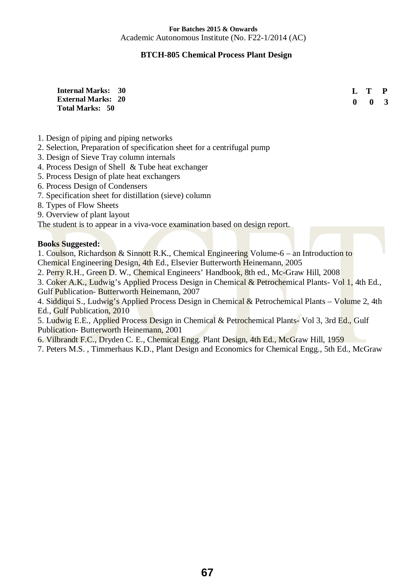## **BTCH-805 Chemical Process Plant Design**

**Internal Marks: 30 External Marks: 20 Total Marks: 50**

 **L T P 0 0 3**

- 1. Design of piping and piping networks
- 2. Selection, Preparation of specification sheet for a centrifugal pump
- 3. Design of Sieve Tray column internals
- 4. Process Design of Shell & Tube heat exchanger
- 5. Process Design of plate heat exchangers
- 6. Process Design of Condensers
- 7. Specification sheet for distillation (sieve) column
- 8. Types of Flow Sheets
- 9. Overview of plant layout

The student is to appear in a viva-voce examination based on design report.

## **Books Suggested:**

1. Coulson, Richardson & Sinnott R.K., Chemical Engineering Volume-6 – an Introduction to Chemical Engineering Design, 4th Ed., Elsevier Butterworth Heinemann, 2005

2. Perry R.H., Green D. W., Chemical Engineers' Handbook, 8th ed., Mc-Graw Hill, 2008

3. Coker A.K., Ludwig's Applied Process Design in Chemical & Petrochemical Plants- Vol 1, 4th Ed., Gulf Publication- Butterworth Heinemann, 2007

4. Siddiqui S., Ludwig's Applied Process Design in Chemical & Petrochemical Plants – Volume 2, 4th Ed., Gulf Publication, 2010

5. Ludwig E.E., Applied Process Design in Chemical & Petrochemical Plants- Vol 3, 3rd Ed., Gulf Publication- Butterworth Heinemann, 2001

6. Vilbrandt F.C., Dryden C. E., Chemical Engg. Plant Design, 4th Ed., McGraw Hill, 1959

7. Peters M.S. , Timmerhaus K.D., Plant Design and Economics for Chemical Engg., 5th Ed., McGraw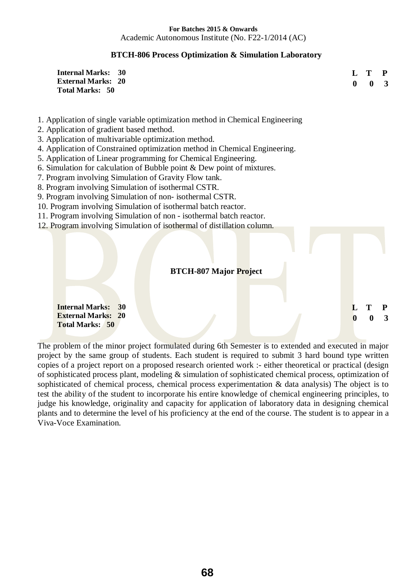## **BTCH-806 Process Optimization & Simulation Laboratory**

| <b>Internal Marks: 30</b> | $\mathbf{L} \mathbf{T} \mathbf{P}$ |  |
|---------------------------|------------------------------------|--|
| <b>External Marks: 20</b> | $0 \quad 0 \quad 3$                |  |
| Total Marks: 50           |                                    |  |

- 1. Application of single variable optimization method in Chemical Engineering
- 2. Application of gradient based method.
- 3. Application of multivariable optimization method.
- 4. Application of Constrained optimization method in Chemical Engineering.
- 5. Application of Linear programming for Chemical Engineering.
- 6. Simulation for calculation of Bubble point & Dew point of mixtures.
- 7. Program involving Simulation of Gravity Flow tank.
- 8. Program involving Simulation of isothermal CSTR.
- 9. Program involving Simulation of non- isothermal CSTR.
- 10. Program involving Simulation of isothermal batch reactor.
- 11. Program involving Simulation of non isothermal batch reactor.
- 12. Program involving Simulation of isothermal of distillation column.

## **BTCH-807 Major Project**

 **L T P 0 0 3**

**Internal Marks: 30 External Marks: 20 Total Marks: 50**

The problem of the minor project formulated during 6th Semester is to extended and executed in major project by the same group of students. Each student is required to submit 3 hard bound type written copies of a project report on a proposed research oriented work :- either theoretical or practical (design of sophisticated process plant, modeling & simulation of sophisticated chemical process, optimization of sophisticated of chemical process, chemical process experimentation & data analysis) The object is to test the ability of the student to incorporate his entire knowledge of chemical engineering principles, to judge his knowledge, originality and capacity for application of laboratory data in designing chemical plants and to determine the level of his proficiency at the end of the course. The student is to appear in a Viva-Voce Examination.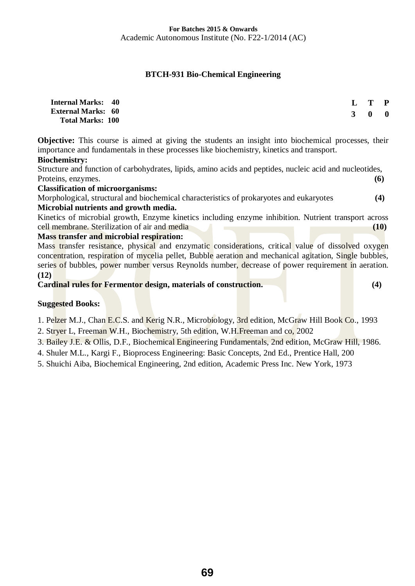## **BTCH-931 Bio-Chemical Engineering**

| <b>Internal Marks: 40</b> | L T P               |  |
|---------------------------|---------------------|--|
| <b>External Marks: 60</b> | $3 \quad 0 \quad 0$ |  |
| <b>Total Marks: 100</b>   |                     |  |

**Objective:** This course is aimed at giving the students an insight into biochemical processes, their importance and fundamentals in these processes like biochemistry, kinetics and transport. **Biochemistry:**

Structure and function of carbohydrates, lipids, amino acids and peptides, nucleic acid and nucleotides, Proteins, enzymes. **(6)** 

**Classification of microorganisms:**

Morphological, structural and biochemical characteristics of prokaryotes and eukaryotes **(4) Microbial nutrients and growth media.** 

Kinetics of microbial growth, Enzyme kinetics including enzyme inhibition. Nutrient transport across cell membrane. Sterilization of air and media **(10)** 

## **Mass transfer and microbial respiration:**

Mass transfer resistance, physical and enzymatic considerations, critical value of dissolved oxygen concentration, respiration of mycelia pellet, Bubble aeration and mechanical agitation, Single bubbles, series of bubbles, power number versus Reynolds number, decrease of power requirement in aeration. **(12)** 

**Cardinal rules for Fermentor design, materials of construction. (4)**

## **Suggested Books:**

1. Pelzer M.J., Chan E.C.S. and Kerig N.R., Microbiology, 3rd edition, McGraw Hill Book Co., 1993

2. Stryer L, Freeman W.H., Biochemistry, 5th edition, W.H.Freeman and co, 2002

- 3. Bailey J.E. & Ollis, D.F., Biochemical Engineering Fundamentals, 2nd edition, McGraw Hill, 1986.
- 4. Shuler M.L., Kargi F., Bioprocess Engineering: Basic Concepts, 2nd Ed., Prentice Hall, 200
- 5. Shuichi Aiba, Biochemical Engineering, 2nd edition, Academic Press Inc. New York, 1973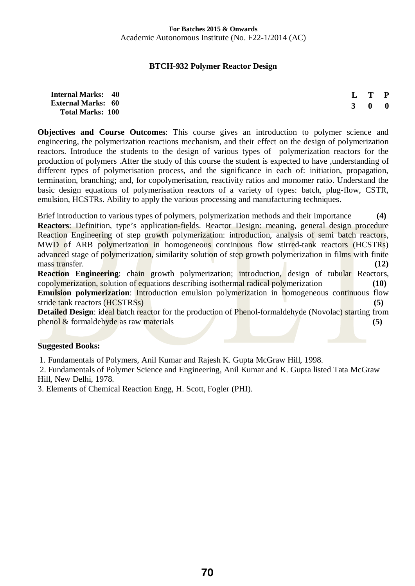## **BTCH-932 Polymer Reactor Design**

| <b>Internal Marks: 40</b> | $L$ T P             |  |
|---------------------------|---------------------|--|
| <b>External Marks: 60</b> | $3 \quad 0 \quad 0$ |  |
| <b>Total Marks: 100</b>   |                     |  |

**Objectives and Course Outcomes**: This course gives an introduction to polymer science and engineering, the polymerization reactions mechanism, and their effect on the design of polymerization reactors. Introduce the students to the design of various types of polymerization reactors for the production of polymers .After the study of this course the student is expected to have ,understanding of different types of polymerisation process, and the significance in each of: initiation, propagation, termination, branching; and, for copolymerisation, reactivity ratios and monomer ratio. Understand the basic design equations of polymerisation reactors of a variety of types: batch, plug-flow, CSTR, emulsion, HCSTRs. Ability to apply the various processing and manufacturing techniques.

Brief introduction to various types of polymers, polymerization methods and their importance **(4) Reactors**: Definition, type's application-fields. Reactor Design: meaning, general design procedure Reaction Engineering of step growth polymerization: introduction, analysis of semi batch reactors, MWD of ARB polymerization in homogeneous continuous flow stirred-tank reactors (HCSTRs) advanced stage of polymerization, similarity solution of step growth polymerization in films with finite mass transfer. **(12)** (12)

**Reaction Engineering**: chain growth polymerization; introduction, design of tubular Reactors, copolymerization, solution of equations describing isothermal radical polymerization **(10) Emulsion polymerization:** Introduction emulsion polymerization in homogeneous continuous flow stride tank reactors (HCSTRSs) **(5)**

**Detailed Design:** ideal batch reactor for the production of Phenol-formaldehyde (Novolac) starting from phenol & formaldehyde as raw materials **(5)** (5)

## **Suggested Books:**

1. Fundamentals of Polymers, Anil Kumar and Rajesh K. Gupta McGraw Hill, 1998.

 2. Fundamentals of Polymer Science and Engineering, Anil Kumar and K. Gupta listed Tata McGraw Hill, New Delhi, 1978.

3. Elements of Chemical Reaction Engg, H. Scott, Fogler (PHI).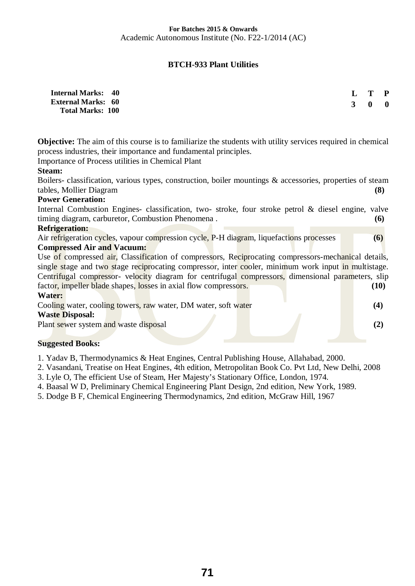## **BTCH-933 Plant Utilities**

| <b>Internal Marks: 40</b>                            | L T P               |  |
|------------------------------------------------------|---------------------|--|
| <b>External Marks: 60</b><br><b>Total Marks: 100</b> | $3 \quad 0 \quad 0$ |  |

**Objective:** The aim of this course is to familiarize the students with utility services required in chemical process industries, their importance and fundamental principles.

Importance of Process utilities in Chemical Plant

## **Steam:**

Boilers- classification, various types, construction, boiler mountings & accessories, properties of steam tables, Mollier Diagram **(8)** 

## **Power Generation:**

Internal Combustion Engines- classification, two- stroke, four stroke petrol & diesel engine, valve timing diagram, carburetor, Combustion Phenomena . **(6)** 

## **Refrigeration:**

Air refrigeration cycles, vapour compression cycle, P-H diagram, liquefactions processes (6) **Compressed Air and Vacuum:**

Use of compressed air, Classification of compressors, Reciprocating compressors-mechanical details, single stage and two stage reciprocating compressor, inter cooler, minimum work input in multistage. Centrifugal compressor- velocity diagram for centrifugal compressors, dimensional parameters, slip factor, impeller blade shapes, losses in axial flow compressors. **(10) (10) Water:**

Cooling water, cooling towers, raw water, DM water, soft water **(4) (4)** 

#### **Waste Disposal:**

Plant sewer system and waste disposal **(2)** (2)

## **Suggested Books:**

1. Yadav B, Thermodynamics & Heat Engines, Central Publishing House, Allahabad, 2000.

2. Vasandani, Treatise on Heat Engines, 4th edition, Metropolitan Book Co. Pvt Ltd, New Delhi, 2008

3. Lyle O, The efficient Use of Steam, Her Majesty's Stationary Office, London, 1974.

4. Baasal W D, Preliminary Chemical Engineering Plant Design, 2nd edition, New York, 1989.

5. Dodge B F, Chemical Engineering Thermodynamics, 2nd edition, McGraw Hill, 1967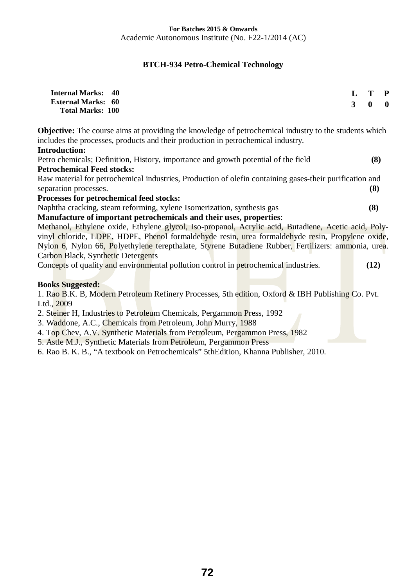## **BTCH-934 Petro-Chemical Technology**

| <b>Internal Marks: 40</b><br><b>External Marks: 60</b><br><b>Total Marks: 100</b>                                       | $\mathbf{3}$ | $T$ $P$ | $0 \quad 0$ |
|-------------------------------------------------------------------------------------------------------------------------|--------------|---------|-------------|
| <b>Objective:</b> The course aims at providing the knowledge of petrochemical industry to the students which            |              |         |             |
| includes the processes, products and their production in petrochemical industry.<br><b>Introduction:</b>                |              |         |             |
|                                                                                                                         |              |         |             |
| Petro chemicals; Definition, History, importance and growth potential of the field<br><b>Petrochemical Feed stocks:</b> |              | (8)     |             |
|                                                                                                                         |              |         |             |
| Raw material for petrochemical industries, Production of olefin containing gases-their purification and                 |              |         |             |
| separation processes.                                                                                                   |              | (8)     |             |
| Processes for petrochemical feed stocks:                                                                                |              |         |             |
| Naphtha cracking, steam reforming, xylene Isomerization, synthesis gas                                                  |              | (8)     |             |
| Manufacture of important petrochemicals and their uses, properties:                                                     |              |         |             |
| Methanol, Ethylene oxide, Ethylene glycol, Iso-propanol, Acrylic acid, Butadiene, Acetic acid, Poly-                    |              |         |             |
| vinyl chloride, LDPE, HDPE, Phenol formaldehyde resin, urea formaldehyde resin, Propylene oxide,                        |              |         |             |
| Nylon 6, Nylon 66, Polyethylene terepthalate, Styrene Butadiene Rubber, Fertilizers: ammonia, urea.                     |              |         |             |
| Carbon Black, Synthetic Detergents                                                                                      |              |         |             |
| Concepts of quality and environmental pollution control in petrochemical industries.                                    |              | (12)    |             |
|                                                                                                                         |              |         |             |
|                                                                                                                         |              |         |             |
| <b>Books Suggested:</b>                                                                                                 |              |         |             |
| 1. Rao B.K. B, Modern Petroleum Refinery Processes, 5th edition, Oxford & IBH Publishing Co. Pvt.                       |              |         |             |
| Ltd., 2009                                                                                                              |              |         |             |

2. Steiner H, Industries to Petroleum Chemicals, Pergammon Press, 1992

3. Waddone, A.C., Chemicals from Petroleum, John Murry, 1988

4. Top Chev, A.V. Synthetic Materials from Petroleum, Pergammon Press, 1982

5. Astle M.J., Synthetic Materials from Petroleum, Pergammon Press

6. Rao B. K. B., "A textbook on Petrochemicals" 5thEdition, Khanna Publisher, 2010.